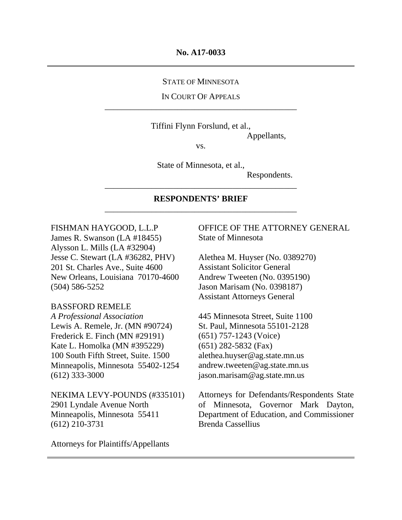#### STATE OF MINNESOTA

#### IN COURT OF APPEALS \_\_\_\_\_\_\_\_\_\_\_\_\_\_\_\_\_\_\_\_\_\_\_\_\_\_\_\_\_\_\_\_\_\_\_\_\_\_\_\_\_\_\_\_\_

Tiffini Flynn Forslund, et al.,

Appellants,

vs.

State of Minnesota, et al.,

\_\_\_\_\_\_\_\_\_\_\_\_\_\_\_\_\_\_\_\_\_\_\_\_\_\_\_\_\_\_\_\_\_\_\_\_\_\_\_\_\_\_\_\_\_

Respondents.

#### **RESPONDENTS' BRIEF**  \_\_\_\_\_\_\_\_\_\_\_\_\_\_\_\_\_\_\_\_\_\_\_\_\_\_\_\_\_\_\_\_\_\_\_\_\_\_\_\_\_\_\_\_\_

FISHMAN HAYGOOD, L.L.P James R. Swanson (LA #18455) Alysson L. Mills (LA #32904) Jesse C. Stewart (LA #36282, PHV) 201 St. Charles Ave., Suite 4600 New Orleans, Louisiana 70170-4600

# (504) 586-5252

## BASSFORD REMELE

*A Professional Association*  Lewis A. Remele, Jr. (MN #90724) Frederick E. Finch (MN #29191) Kate L. Homolka (MN #395229) 100 South Fifth Street, Suite. 1500 Minneapolis, Minnesota 55402-1254 (612) 333-3000

NEKIMA LEVY-POUNDS (#335101) 2901 Lyndale Avenue North Minneapolis, Minnesota 55411 (612) 210-3731

OFFICE OF THE ATTORNEY GENERAL State of Minnesota

Alethea M. Huyser (No. 0389270) Assistant Solicitor General Andrew Tweeten (No. 0395190) Jason Marisam (No. 0398187) Assistant Attorneys General

445 Minnesota Street, Suite 1100 St. Paul, Minnesota 55101-2128 (651) 757-1243 (Voice) (651) 282-5832 (Fax) alethea.huyser@ag.state.mn.us andrew.tweeten@ag.state.mn.us jason.marisam@ag.state.mn.us

Attorneys for Defendants/Respondents State of Minnesota, Governor Mark Dayton, Department of Education, and Commissioner Brenda Cassellius

Attorneys for Plaintiffs/Appellants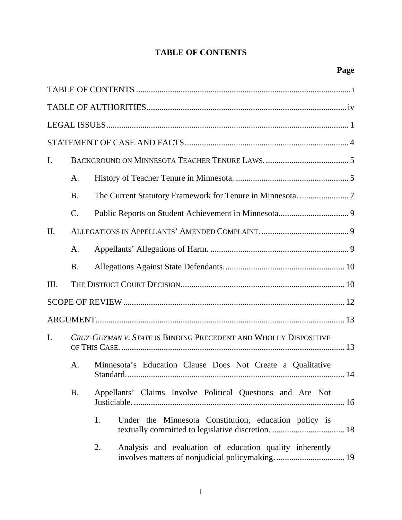# **TABLE OF CONTENTS**

| $\mathbf{I}$ . |                                                                  |                                                               |
|----------------|------------------------------------------------------------------|---------------------------------------------------------------|
|                | A.                                                               |                                                               |
|                | <b>B.</b>                                                        |                                                               |
|                | $\mathcal{C}$ .                                                  |                                                               |
| II.            |                                                                  |                                                               |
|                | A.                                                               |                                                               |
|                | <b>B.</b>                                                        |                                                               |
| Ш.             |                                                                  |                                                               |
|                |                                                                  |                                                               |
|                |                                                                  |                                                               |
| $\mathbf{I}$ . | CRUZ-GUZMAN V. STATE IS BINDING PRECEDENT AND WHOLLY DISPOSITIVE |                                                               |
|                | A.                                                               | Minnesota's Education Clause Does Not Create a Qualitative    |
|                | <b>B.</b>                                                        | Appellants' Claims Involve Political Questions and Are Not    |
|                |                                                                  | 1.<br>Under the Minnesota Constitution, education policy is   |
|                |                                                                  | Analysis and evaluation of education quality inherently<br>2. |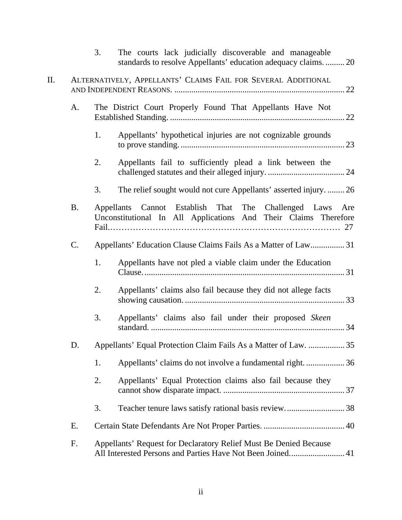|     |           | 3.                | The courts lack judicially discoverable and manageable<br>standards to resolve Appellants' education adequacy claims.  20       |
|-----|-----------|-------------------|---------------------------------------------------------------------------------------------------------------------------------|
| II. |           |                   | ALTERNATIVELY, APPELLANTS' CLAIMS FAIL FOR SEVERAL ADDITIONAL                                                                   |
|     | A.        |                   | The District Court Properly Found That Appellants Have Not                                                                      |
|     |           | 1.                | Appellants' hypothetical injuries are not cognizable grounds                                                                    |
|     |           | 2.                | Appellants fail to sufficiently plead a link between the                                                                        |
|     |           | 3.                | The relief sought would not cure Appellants' asserted injury.  26                                                               |
|     | <b>B.</b> | <b>Appellants</b> | Cannot Establish That The Challenged Laws<br>Are<br>Unconstitutional In All Applications And Their Claims Therefore             |
|     | C.        |                   | Appellants' Education Clause Claims Fails As a Matter of Law 31                                                                 |
|     |           | 1.                | Appellants have not pled a viable claim under the Education                                                                     |
|     |           | 2.                | Appellants' claims also fail because they did not allege facts                                                                  |
|     |           | 3.                | Appellants' claims also fail under their proposed Skeen                                                                         |
|     | D.        |                   | Appellants' Equal Protection Claim Fails As a Matter of Law.  35                                                                |
|     |           | 1.                | Appellants' claims do not involve a fundamental right.  36                                                                      |
|     |           | 2.                | Appellants' Equal Protection claims also fail because they                                                                      |
|     |           | 3.                |                                                                                                                                 |
|     | E.        |                   |                                                                                                                                 |
|     | F.        |                   | Appellants' Request for Declaratory Relief Must Be Denied Because<br>All Interested Persons and Parties Have Not Been Joined 41 |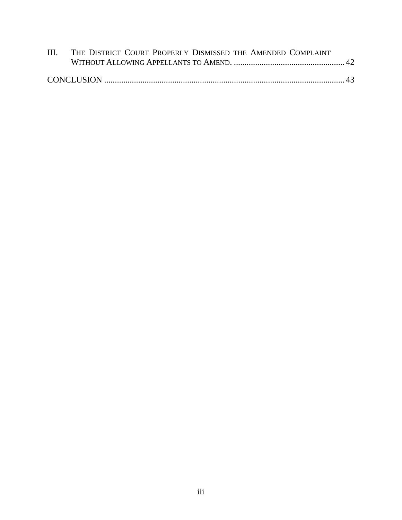| III. THE DISTRICT COURT PROPERLY DISMISSED THE AMENDED COMPLAINT |  |
|------------------------------------------------------------------|--|
|                                                                  |  |
|                                                                  |  |
|                                                                  |  |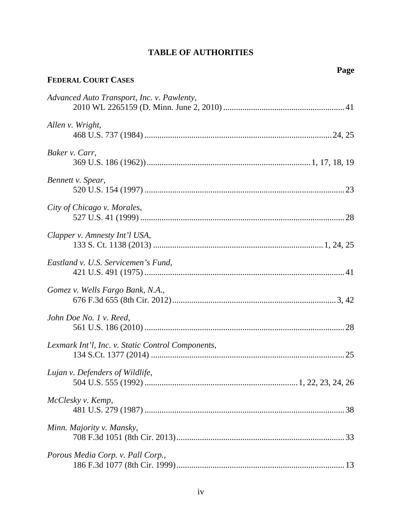# **TABLE OF AUTHORITIES**

**Page** 

| <b>FEDERAL COURT CASES</b>                        |
|---------------------------------------------------|
| Advanced Auto Transport, Inc. v. Pawlenty,        |
| Allen v. Wright,                                  |
| Baker v. Carr,                                    |
| Bennett v. Spear,                                 |
| City of Chicago v. Morales,                       |
| Clapper v. Amnesty Int'l USA,                     |
| Eastland v. U.S. Servicemen's Fund,               |
| Gomez v. Wells Fargo Bank, N.A.,                  |
| John Doe No. 1 v. Reed,                           |
| Lexmark Int'l, Inc. v. Static Control Components, |
| Lujan v. Defenders of Wildlife,                   |
| McClesky v. Kemp,                                 |
| Minn. Majority v. Mansky,                         |
| Porous Media Corp. v. Pall Corp.,                 |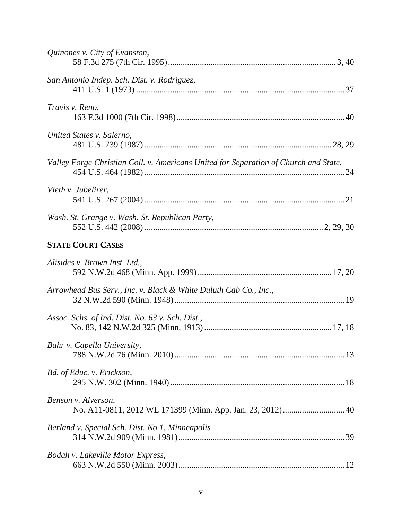| Quinones v. City of Evanston,                                                        |
|--------------------------------------------------------------------------------------|
| San Antonio Indep. Sch. Dist. v. Rodriguez,                                          |
| Travis v. Reno,                                                                      |
| United States v. Salerno,                                                            |
| Valley Forge Christian Coll. v. Americans United for Separation of Church and State, |
| Vieth v. Jubelirer,                                                                  |
| Wash. St. Grange v. Wash. St. Republican Party,                                      |
| <b>STATE COURT CASES</b>                                                             |
| Alisides v. Brown Inst. Ltd.,                                                        |
| Arrowhead Bus Serv., Inc. v. Black & White Duluth Cab Co., Inc.,                     |
| Assoc. Schs. of Ind. Dist. No. 63 v. Sch. Dist.,                                     |
| Bahr v. Capella University,                                                          |
| Bd. of Educ. v. Erickson,                                                            |
| Benson v. Alverson,                                                                  |
| Berland v. Special Sch. Dist. No 1, Minneapolis                                      |
| Bodah v. Lakeville Motor Express,                                                    |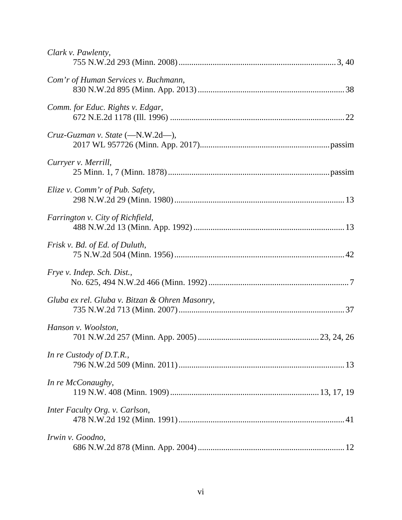| Clark v. Pawlenty,                             |
|------------------------------------------------|
| Com'r of Human Services v. Buchmann,           |
| Comm. for Educ. Rights v. Edgar,               |
| $Cruz-Guzman$ v. State $(-N.W.2d-)$ ,          |
| Curryer v. Merrill,                            |
| Elize v. Comm'r of Pub. Safety,                |
| Farrington v. City of Richfield,               |
| Frisk v. Bd. of Ed. of Duluth,                 |
| Frye v. Indep. Sch. Dist.,                     |
| Gluba ex rel. Gluba v. Bitzan & Ohren Masonry, |
| Hanson v. Woolston,                            |
| In re Custody of D.T.R.,                       |
| In re McConaughy,                              |
| Inter Faculty Org. v. Carlson,                 |
| Irwin v. Goodno,                               |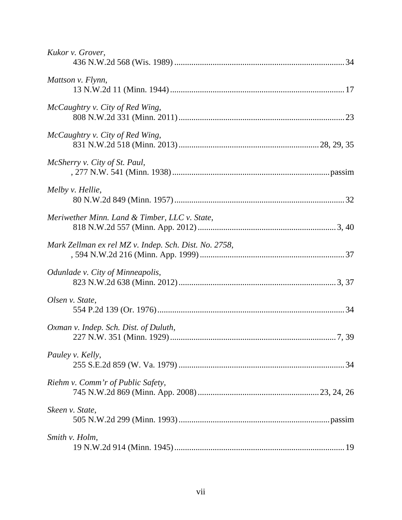| Kukor v. Grover,                                      |  |
|-------------------------------------------------------|--|
| Mattson v. Flynn,                                     |  |
| McCaughtry v. City of Red Wing,                       |  |
| McCaughtry v. City of Red Wing,                       |  |
| McSherry v. City of St. Paul,                         |  |
| Melby v. Hellie,                                      |  |
| Meriwether Minn. Land & Timber, LLC v. State,         |  |
| Mark Zellman ex rel MZ v. Indep. Sch. Dist. No. 2758, |  |
| <i>Odunlade v. City of Minneapolis,</i>               |  |
| Olsen v. State,                                       |  |
| Oxman v. Indep. Sch. Dist. of Duluth,                 |  |
| Pauley v. Kelly,                                      |  |
| Riehm v. Comm'r of Public Safety,                     |  |
| Skeen v. State,                                       |  |
| Smith v. Holm,                                        |  |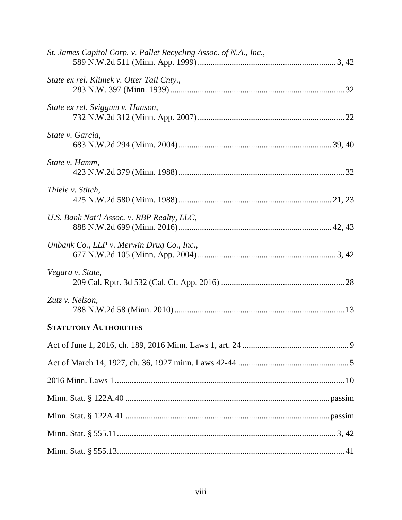| St. James Capitol Corp. v. Pallet Recycling Assoc. of N.A., Inc., |  |
|-------------------------------------------------------------------|--|
| State ex rel. Klimek v. Otter Tail Cnty.,                         |  |
| State ex rel. Sviggum v. Hanson,                                  |  |
| State v. Garcia,                                                  |  |
| State v. Hamm,                                                    |  |
| Thiele v. Stitch,                                                 |  |
| U.S. Bank Nat'l Assoc. v. RBP Realty, LLC,                        |  |
| Unbank Co., LLP v. Merwin Drug Co., Inc.,                         |  |
| Vegara v. State,                                                  |  |
| Zutz v. Nelson,                                                   |  |
| <b>STATUTORY AUTHORITIES</b>                                      |  |
|                                                                   |  |
|                                                                   |  |
|                                                                   |  |
|                                                                   |  |
|                                                                   |  |
|                                                                   |  |
|                                                                   |  |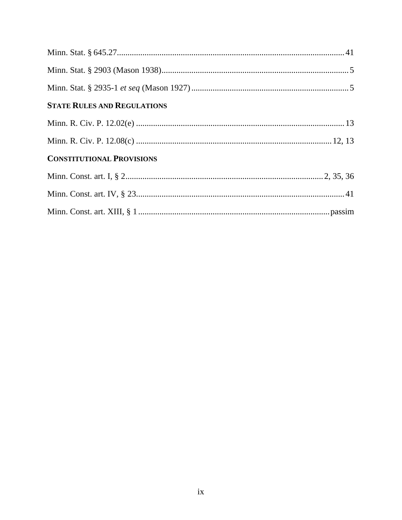| <b>STATE RULES AND REGULATIONS</b> |  |
|------------------------------------|--|
|                                    |  |
|                                    |  |
| <b>CONSTITUTIONAL PROVISIONS</b>   |  |
|                                    |  |
|                                    |  |
|                                    |  |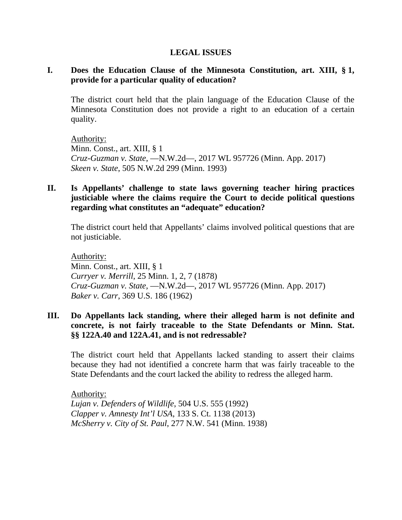#### **LEGAL ISSUES**

## **I. Does the Education Clause of the Minnesota Constitution, art. XIII, § 1, provide for a particular quality of education?**

The district court held that the plain language of the Education Clause of the Minnesota Constitution does not provide a right to an education of a certain quality.

Authority: Minn. Const., art. XIII, § 1 *Cruz-Guzman v. State*, —N.W.2d—, 2017 WL 957726 (Minn. App. 2017) *Skeen v. State*, 505 N.W.2d 299 (Minn. 1993)

## **II. Is Appellants' challenge to state laws governing teacher hiring practices justiciable where the claims require the Court to decide political questions regarding what constitutes an "adequate" education?**

The district court held that Appellants' claims involved political questions that are not justiciable.

Authority: Minn. Const., art. XIII, § 1 *Curryer v. Merrill*, 25 Minn. 1, 2, 7 (1878) *Cruz-Guzman v. State*, —N.W.2d—, 2017 WL 957726 (Minn. App. 2017) *Baker v. Carr*, 369 U.S. 186 (1962)

## **III. Do Appellants lack standing, where their alleged harm is not definite and concrete, is not fairly traceable to the State Defendants or Minn. Stat. §§ 122A.40 and 122A.41, and is not redressable?**

The district court held that Appellants lacked standing to assert their claims because they had not identified a concrete harm that was fairly traceable to the State Defendants and the court lacked the ability to redress the alleged harm.

Authority: *Lujan v. Defenders of Wildlife*, 504 U.S. 555 (1992) *Clapper v. Amnesty Int'l USA*, 133 S. Ct. 1138 (2013) *McSherry v. City of St. Paul*, 277 N.W. 541 (Minn. 1938)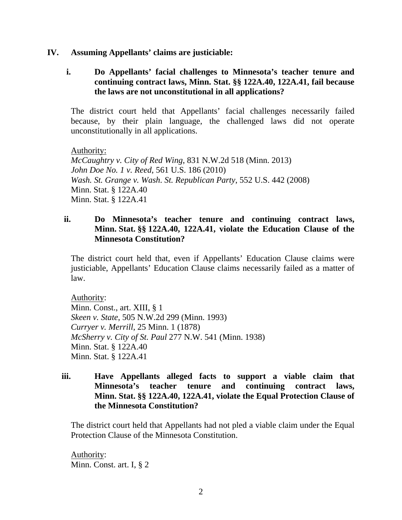#### **IV. Assuming Appellants' claims are justiciable:**

**i. Do Appellants' facial challenges to Minnesota's teacher tenure and continuing contract laws, Minn. Stat. §§ 122A.40, 122A.41, fail because the laws are not unconstitutional in all applications?** 

The district court held that Appellants' facial challenges necessarily failed because, by their plain language, the challenged laws did not operate unconstitutionally in all applications.

#### Authority:

*McCaughtry v. City of Red Wing*, 831 N.W.2d 518 (Minn. 2013) *John Doe No. 1 v. Reed*, 561 U.S. 186 (2010) *Wash. St. Grange v. Wash. St. Republican Party*, 552 U.S. 442 (2008) Minn. Stat. § 122A.40 Minn. Stat. § 122A.41

## **ii. Do Minnesota's teacher tenure and continuing contract laws, Minn. Stat. §§ 122A.40, 122A.41, violate the Education Clause of the Minnesota Constitution?**

The district court held that, even if Appellants' Education Clause claims were justiciable, Appellants' Education Clause claims necessarily failed as a matter of law.

Authority:

Minn. Const., art. XIII, § 1 *Skeen v. State*, 505 N.W.2d 299 (Minn. 1993) *Curryer v. Merrill*, 25 Minn. 1 (1878) *McSherry v. City of St. Paul* 277 N.W. 541 (Minn. 1938) Minn. Stat. § 122A.40 Minn. Stat. § 122A.41

## **iii. Have Appellants alleged facts to support a viable claim that Minnesota's teacher tenure and continuing contract laws, Minn. Stat. §§ 122A.40, 122A.41, violate the Equal Protection Clause of the Minnesota Constitution?**

The district court held that Appellants had not pled a viable claim under the Equal Protection Clause of the Minnesota Constitution.

 Authority: Minn. Const. art. I, § 2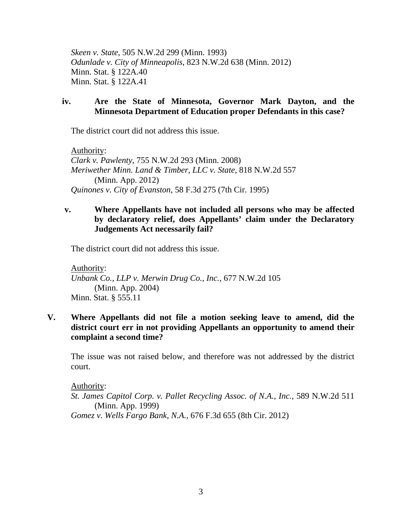*Skeen v. State*, 505 N.W.2d 299 (Minn. 1993) *Odunlade v. City of Minneapolis*, 823 N.W.2d 638 (Minn. 2012) Minn. Stat. § 122A.40 Minn. Stat. § 122A.41

#### **iv. Are the State of Minnesota, Governor Mark Dayton, and the Minnesota Department of Education proper Defendants in this case?**

The district court did not address this issue.

 Authority: *Clark v. Pawlenty*, 755 N.W.2d 293 (Minn. 2008)  *Meriwether Minn. Land & Timber, LLC v. State*, 818 N.W.2d 557 (Minn. App. 2012) *Quinones v. City of Evanston*, 58 F.3d 275 (7th Cir. 1995)

## **v. Where Appellants have not included all persons who may be affected by declaratory relief, does Appellants' claim under the Declaratory Judgements Act necessarily fail?**

The district court did not address this issue.

 Authority: *Unbank Co., LLP v. Merwin Drug Co., Inc.*, 677 N.W.2d 105 (Minn. App. 2004) Minn. Stat. § 555.11

## **V. Where Appellants did not file a motion seeking leave to amend, did the district court err in not providing Appellants an opportunity to amend their complaint a second time?**

The issue was not raised below, and therefore was not addressed by the district court.

Authority:

*St. James Capitol Corp. v. Pallet Recycling Assoc. of N.A., Inc.*, 589 N.W.2d 511 (Minn. App. 1999) *Gomez v. Wells Fargo Bank, N.A.,* 676 F.3d 655 (8th Cir. 2012)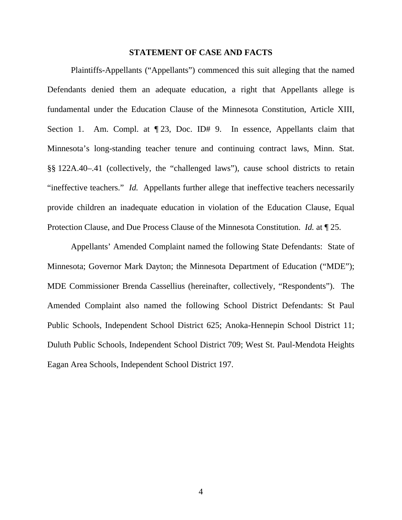#### **STATEMENT OF CASE AND FACTS**

Plaintiffs-Appellants ("Appellants") commenced this suit alleging that the named Defendants denied them an adequate education, a right that Appellants allege is fundamental under the Education Clause of the Minnesota Constitution, Article XIII, Section 1. Am. Compl. at  $\P$  23, Doc. ID# 9. In essence, Appellants claim that Minnesota's long-standing teacher tenure and continuing contract laws, Minn. Stat. §§ 122A.40–.41 (collectively, the "challenged laws"), cause school districts to retain "ineffective teachers." *Id.* Appellants further allege that ineffective teachers necessarily provide children an inadequate education in violation of the Education Clause, Equal Protection Clause, and Due Process Clause of the Minnesota Constitution. *Id.* at ¶ 25.

Appellants' Amended Complaint named the following State Defendants: State of Minnesota; Governor Mark Dayton; the Minnesota Department of Education ("MDE"); MDE Commissioner Brenda Cassellius (hereinafter, collectively, "Respondents"). The Amended Complaint also named the following School District Defendants: St Paul Public Schools, Independent School District 625; Anoka-Hennepin School District 11; Duluth Public Schools, Independent School District 709; West St. Paul-Mendota Heights Eagan Area Schools, Independent School District 197.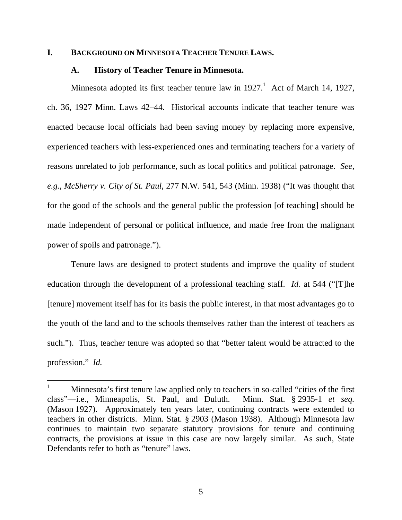#### **I. BACKGROUND ON MINNESOTA TEACHER TENURE LAWS.**

#### **A. History of Teacher Tenure in Minnesota.**

Minnesota adopted its first teacher tenure law in  $1927<sup>1</sup>$  Act of March 14, 1927, ch. 36, 1927 Minn. Laws 42–44. Historical accounts indicate that teacher tenure was enacted because local officials had been saving money by replacing more expensive, experienced teachers with less-experienced ones and terminating teachers for a variety of reasons unrelated to job performance, such as local politics and political patronage. *See, e.g.*, *McSherry v. City of St. Paul*, 277 N.W. 541, 543 (Minn. 1938) ("It was thought that for the good of the schools and the general public the profession [of teaching] should be made independent of personal or political influence, and made free from the malignant power of spoils and patronage.").

Tenure laws are designed to protect students and improve the quality of student education through the development of a professional teaching staff. *Id.* at 544 ("[T]he [tenure] movement itself has for its basis the public interest, in that most advantages go to the youth of the land and to the schools themselves rather than the interest of teachers as such."). Thus, teacher tenure was adopted so that "better talent would be attracted to the profession." *Id.*

<sup>1</sup> Minnesota's first tenure law applied only to teachers in so-called "cities of the first class"—i.e., Minneapolis, St. Paul, and Duluth. Minn. Stat. § 2935-1 *et seq.* (Mason 1927). Approximately ten years later, continuing contracts were extended to teachers in other districts. Minn. Stat. § 2903 (Mason 1938). Although Minnesota law continues to maintain two separate statutory provisions for tenure and continuing contracts, the provisions at issue in this case are now largely similar. As such, State Defendants refer to both as "tenure" laws.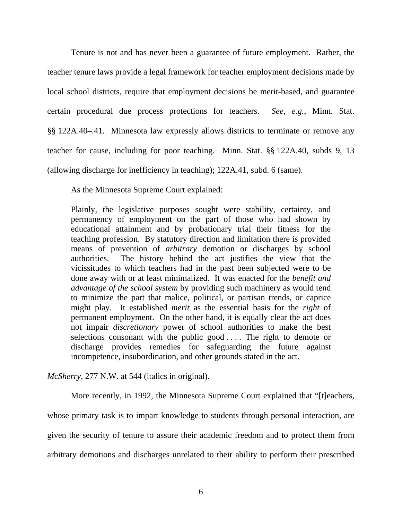Tenure is not and has never been a guarantee of future employment. Rather, the teacher tenure laws provide a legal framework for teacher employment decisions made by local school districts, require that employment decisions be merit-based, and guarantee certain procedural due process protections for teachers. *See, e.g.*, Minn. Stat. §§ 122A.40–.41. Minnesota law expressly allows districts to terminate or remove any teacher for cause, including for poor teaching. Minn. Stat. §§ 122A.40, subds 9, 13 (allowing discharge for inefficiency in teaching); 122A.41, subd. 6 (same).

As the Minnesota Supreme Court explained:

Plainly, the legislative purposes sought were stability, certainty, and permanency of employment on the part of those who had shown by educational attainment and by probationary trial their fitness for the teaching profession. By statutory direction and limitation there is provided means of prevention of *arbitrary* demotion or discharges by school authorities. The history behind the act justifies the view that the vicissitudes to which teachers had in the past been subjected were to be done away with or at least minimalized. It was enacted for the *benefit and advantage of the school system* by providing such machinery as would tend to minimize the part that malice, political, or partisan trends, or caprice might play. It established *merit* as the essential basis for the *right* of permanent employment. On the other hand, it is equally clear the act does not impair *discretionary* power of school authorities to make the best selections consonant with the public good .... The right to demote or discharge provides remedies for safeguarding the future against incompetence, insubordination, and other grounds stated in the act.

*McSherry*, 277 N.W. at 544 (italics in original).

More recently, in 1992, the Minnesota Supreme Court explained that "[t]eachers, whose primary task is to impart knowledge to students through personal interaction, are given the security of tenure to assure their academic freedom and to protect them from arbitrary demotions and discharges unrelated to their ability to perform their prescribed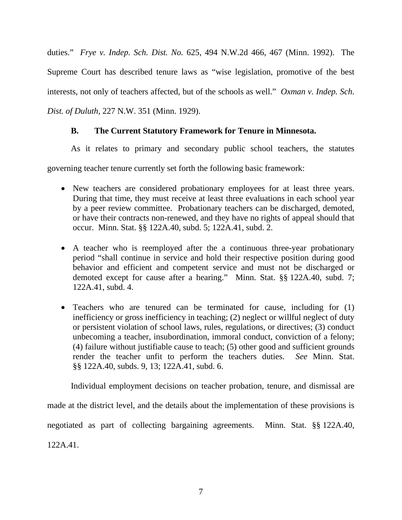duties." *Frye v. Indep. Sch. Dist. No.* 625, 494 N.W.2d 466, 467 (Minn. 1992).The Supreme Court has described tenure laws as "wise legislation, promotive of the best interests, not only of teachers affected, but of the schools as well." *Oxman v. Indep. Sch. Dist. of Duluth*, 227 N.W. 351 (Minn. 1929).

## **B. The Current Statutory Framework for Tenure in Minnesota.**

As it relates to primary and secondary public school teachers, the statutes

governing teacher tenure currently set forth the following basic framework:

- New teachers are considered probationary employees for at least three years. During that time, they must receive at least three evaluations in each school year by a peer review committee. Probationary teachers can be discharged, demoted, or have their contracts non-renewed, and they have no rights of appeal should that occur. Minn. Stat. §§ 122A.40, subd. 5; 122A.41, subd. 2.
- A teacher who is reemployed after the a continuous three-year probationary period "shall continue in service and hold their respective position during good behavior and efficient and competent service and must not be discharged or demoted except for cause after a hearing." Minn. Stat. §§ 122A.40, subd. 7; 122A.41, subd. 4.
- Teachers who are tenured can be terminated for cause, including for (1) inefficiency or gross inefficiency in teaching; (2) neglect or willful neglect of duty or persistent violation of school laws, rules, regulations, or directives; (3) conduct unbecoming a teacher, insubordination, immoral conduct, conviction of a felony; (4) failure without justifiable cause to teach; (5) other good and sufficient grounds render the teacher unfit to perform the teachers duties. *See* Minn. Stat. §§ 122A.40, subds. 9, 13; 122A.41, subd. 6.

Individual employment decisions on teacher probation, tenure, and dismissal are

made at the district level, and the details about the implementation of these provisions is negotiated as part of collecting bargaining agreements. Minn. Stat. §§ 122A.40, 122A.41.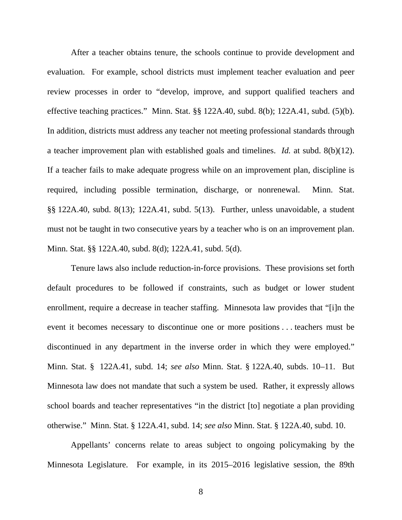After a teacher obtains tenure, the schools continue to provide development and evaluation. For example, school districts must implement teacher evaluation and peer review processes in order to "develop, improve, and support qualified teachers and effective teaching practices." Minn. Stat. §§ 122A.40, subd. 8(b); 122A.41, subd. (5)(b). In addition, districts must address any teacher not meeting professional standards through a teacher improvement plan with established goals and timelines. *Id.* at subd. 8(b)(12). If a teacher fails to make adequate progress while on an improvement plan, discipline is required, including possible termination, discharge, or nonrenewal. Minn. Stat. §§ 122A.40, subd. 8(13); 122A.41, subd. 5(13). Further, unless unavoidable, a student must not be taught in two consecutive years by a teacher who is on an improvement plan. Minn. Stat. §§ 122A.40, subd. 8(d); 122A.41, subd. 5(d).

Tenure laws also include reduction-in-force provisions. These provisions set forth default procedures to be followed if constraints, such as budget or lower student enrollment, require a decrease in teacher staffing. Minnesota law provides that "[i]n the event it becomes necessary to discontinue one or more positions . . . teachers must be discontinued in any department in the inverse order in which they were employed." Minn. Stat. § 122A.41, subd. 14; *see also* Minn. Stat. § 122A.40, subds. 10–11. But Minnesota law does not mandate that such a system be used. Rather, it expressly allows school boards and teacher representatives "in the district [to] negotiate a plan providing otherwise." Minn. Stat. § 122A.41, subd. 14; *see also* Minn. Stat. § 122A.40, subd. 10.

Appellants' concerns relate to areas subject to ongoing policymaking by the Minnesota Legislature. For example, in its 2015–2016 legislative session, the 89th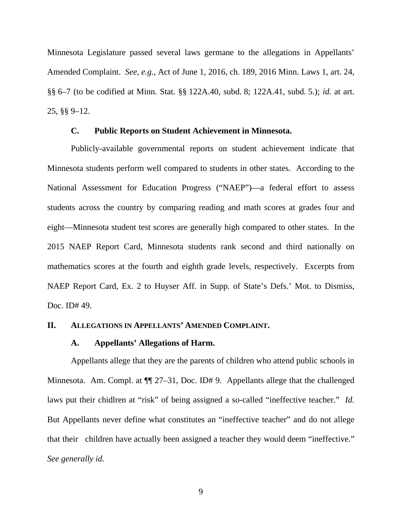Minnesota Legislature passed several laws germane to the allegations in Appellants' Amended Complaint. *See, e.g.*, Act of June 1, 2016, ch. 189, 2016 Minn. Laws 1, art. 24, §§ 6–7 (to be codified at Minn. Stat. §§ 122A.40, subd. 8; 122A.41, subd. 5.); *id.* at art. 25, §§ 9–12.

#### **C. Public Reports on Student Achievement in Minnesota.**

Publicly-available governmental reports on student achievement indicate that Minnesota students perform well compared to students in other states. According to the National Assessment for Education Progress ("NAEP")—a federal effort to assess students across the country by comparing reading and math scores at grades four and eight—Minnesota student test scores are generally high compared to other states. In the 2015 NAEP Report Card, Minnesota students rank second and third nationally on mathematics scores at the fourth and eighth grade levels, respectively. Excerpts from NAEP Report Card, Ex. 2 to Huyser Aff. in Supp. of State's Defs.' Mot. to Dismiss, Doc. ID# 49.

#### **II. ALLEGATIONS IN APPELLANTS' AMENDED COMPLAINT.**

#### **A. Appellants' Allegations of Harm.**

Appellants allege that they are the parents of children who attend public schools in Minnesota. Am. Compl. at  $\P$  27–31, Doc. ID#9. Appellants allege that the challenged laws put their chidlren at "risk" of being assigned a so-called "ineffective teacher." *Id.* But Appellants never define what constitutes an "ineffective teacher" and do not allege that their children have actually been assigned a teacher they would deem "ineffective." *See generally id.*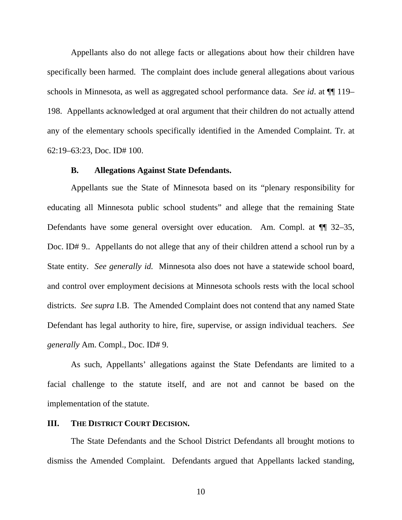Appellants also do not allege facts or allegations about how their children have specifically been harmed. The complaint does include general allegations about various schools in Minnesota, as well as aggregated school performance data. *See id*. at ¶¶ 119– 198. Appellants acknowledged at oral argument that their children do not actually attend any of the elementary schools specifically identified in the Amended Complaint. Tr. at 62:19–63:23, Doc. ID# 100.

#### **B. Allegations Against State Defendants.**

Appellants sue the State of Minnesota based on its "plenary responsibility for educating all Minnesota public school students" and allege that the remaining State Defendants have some general oversight over education. Am. Compl. at ¶¶ 32–35, Doc. ID# 9.. Appellants do not allege that any of their children attend a school run by a State entity. *See generally id.* Minnesota also does not have a statewide school board, and control over employment decisions at Minnesota schools rests with the local school districts. *See supra* I.B. The Amended Complaint does not contend that any named State Defendant has legal authority to hire, fire, supervise, or assign individual teachers. *See generally* Am. Compl., Doc. ID# 9.

As such, Appellants' allegations against the State Defendants are limited to a facial challenge to the statute itself, and are not and cannot be based on the implementation of the statute.

#### **III. THE DISTRICT COURT DECISION.**

The State Defendants and the School District Defendants all brought motions to dismiss the Amended Complaint. Defendants argued that Appellants lacked standing,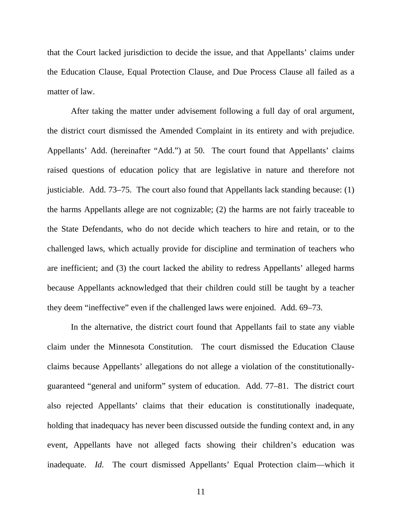that the Court lacked jurisdiction to decide the issue, and that Appellants' claims under the Education Clause, Equal Protection Clause, and Due Process Clause all failed as a matter of law.

After taking the matter under advisement following a full day of oral argument, the district court dismissed the Amended Complaint in its entirety and with prejudice. Appellants' Add. (hereinafter "Add.") at 50. The court found that Appellants' claims raised questions of education policy that are legislative in nature and therefore not justiciable. Add. 73–75. The court also found that Appellants lack standing because: (1) the harms Appellants allege are not cognizable; (2) the harms are not fairly traceable to the State Defendants, who do not decide which teachers to hire and retain, or to the challenged laws, which actually provide for discipline and termination of teachers who are inefficient; and (3) the court lacked the ability to redress Appellants' alleged harms because Appellants acknowledged that their children could still be taught by a teacher they deem "ineffective" even if the challenged laws were enjoined. Add. 69–73.

In the alternative, the district court found that Appellants fail to state any viable claim under the Minnesota Constitution. The court dismissed the Education Clause claims because Appellants' allegations do not allege a violation of the constitutionallyguaranteed "general and uniform" system of education. Add. 77–81. The district court also rejected Appellants' claims that their education is constitutionally inadequate, holding that inadequacy has never been discussed outside the funding context and, in any event, Appellants have not alleged facts showing their children's education was inadequate. *Id.* The court dismissed Appellants' Equal Protection claim—which it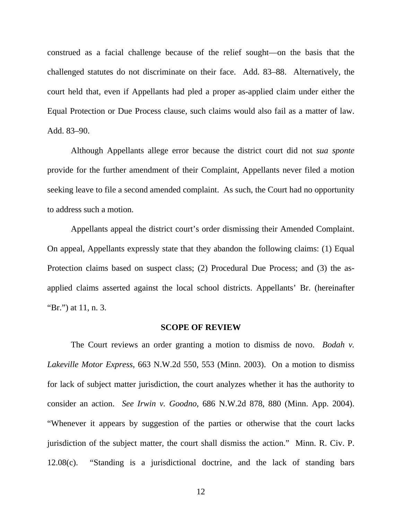construed as a facial challenge because of the relief sought—on the basis that the challenged statutes do not discriminate on their face. Add. 83–88. Alternatively, the court held that, even if Appellants had pled a proper as-applied claim under either the Equal Protection or Due Process clause, such claims would also fail as a matter of law. Add. 83–90.

Although Appellants allege error because the district court did not *sua sponte* provide for the further amendment of their Complaint, Appellants never filed a motion seeking leave to file a second amended complaint. As such, the Court had no opportunity to address such a motion.

Appellants appeal the district court's order dismissing their Amended Complaint. On appeal, Appellants expressly state that they abandon the following claims: (1) Equal Protection claims based on suspect class; (2) Procedural Due Process; and (3) the asapplied claims asserted against the local school districts. Appellants' Br. (hereinafter "Br.") at 11, n. 3.

#### **SCOPE OF REVIEW**

The Court reviews an order granting a motion to dismiss de novo. *Bodah v. Lakeville Motor Express*, 663 N.W.2d 550, 553 (Minn. 2003). On a motion to dismiss for lack of subject matter jurisdiction, the court analyzes whether it has the authority to consider an action. *See Irwin v. Goodno*, 686 N.W.2d 878, 880 (Minn. App. 2004). "Whenever it appears by suggestion of the parties or otherwise that the court lacks jurisdiction of the subject matter, the court shall dismiss the action." Minn. R. Civ. P. 12.08(c). "Standing is a jurisdictional doctrine, and the lack of standing bars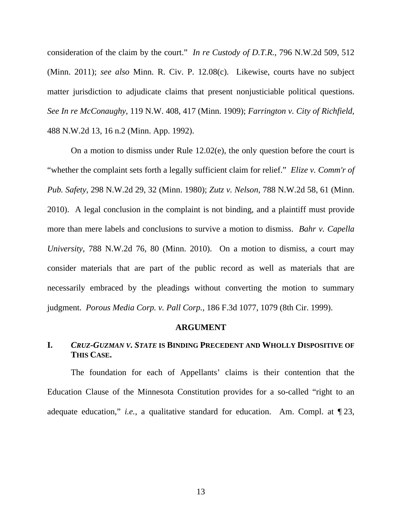consideration of the claim by the court." *In re Custody of D.T.R.*, 796 N.W.2d 509, 512 (Minn. 2011); *see also* Minn. R. Civ. P. 12.08(c). Likewise, courts have no subject matter jurisdiction to adjudicate claims that present nonjusticiable political questions. *See In re McConaughy*, 119 N.W. 408, 417 (Minn. 1909); *Farrington v. City of Richfield*, 488 N.W.2d 13, 16 n.2 (Minn. App. 1992).

On a motion to dismiss under Rule 12.02(e), the only question before the court is "whether the complaint sets forth a legally sufficient claim for relief." *Elize v. Comm'r of Pub. Safety*, 298 N.W.2d 29, 32 (Minn. 1980); *Zutz v. Nelson*, 788 N.W.2d 58, 61 (Minn. 2010). A legal conclusion in the complaint is not binding, and a plaintiff must provide more than mere labels and conclusions to survive a motion to dismiss. *Bahr v. Capella University*, 788 N.W.2d 76, 80 (Minn. 2010). On a motion to dismiss, a court may consider materials that are part of the public record as well as materials that are necessarily embraced by the pleadings without converting the motion to summary judgment. *Porous Media Corp. v. Pall Corp.*, 186 F.3d 1077, 1079 (8th Cir. 1999).

#### **ARGUMENT**

#### **I.** *CRUZ-GUZMAN V. STATE* **IS BINDING PRECEDENT AND WHOLLY DISPOSITIVE OF THIS CASE.**

The foundation for each of Appellants' claims is their contention that the Education Clause of the Minnesota Constitution provides for a so-called "right to an adequate education," *i.e.*, a qualitative standard for education. Am. Compl. at ¶ 23,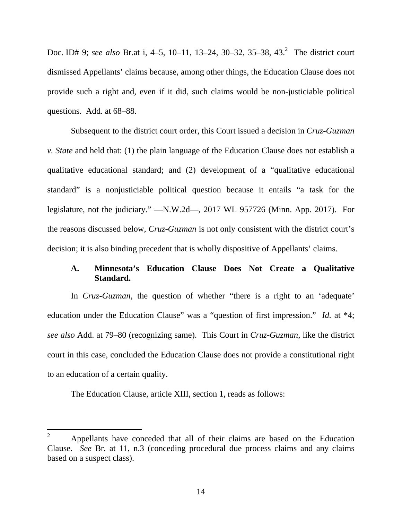Doc. ID# 9; *see also* Br.at i, 4–5, 10–11, 13–24, 30–32, 35–38, 43.<sup>2</sup> The district court dismissed Appellants' claims because, among other things, the Education Clause does not provide such a right and, even if it did, such claims would be non-justiciable political questions. Add. at 68–88.

Subsequent to the district court order, this Court issued a decision in *Cruz-Guzman v. State* and held that: (1) the plain language of the Education Clause does not establish a qualitative educational standard; and (2) development of a "qualitative educational standard" is a nonjusticiable political question because it entails "a task for the legislature, not the judiciary." —N.W.2d—, 2017 WL 957726 (Minn. App. 2017). For the reasons discussed below, *Cruz-Guzman* is not only consistent with the district court's decision; it is also binding precedent that is wholly dispositive of Appellants' claims.

## **A. Minnesota's Education Clause Does Not Create a Qualitative Standard.**

In *Cruz-Guzman*, the question of whether "there is a right to an 'adequate' education under the Education Clause" was a "question of first impression." *Id.* at \*4; *see also* Add. at 79–80 (recognizing same). This Court in *Cruz-Guzman*, like the district court in this case, concluded the Education Clause does not provide a constitutional right to an education of a certain quality.

The Education Clause, article XIII, section 1, reads as follows:

 $\overline{a}$ 

<sup>2</sup> Appellants have conceded that all of their claims are based on the Education Clause. *See* Br. at 11, n.3 (conceding procedural due process claims and any claims based on a suspect class).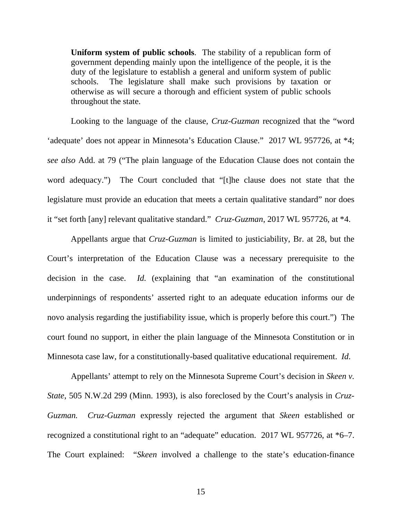**Uniform system of public schools**. The stability of a republican form of government depending mainly upon the intelligence of the people, it is the duty of the legislature to establish a general and uniform system of public schools. The legislature shall make such provisions by taxation or otherwise as will secure a thorough and efficient system of public schools throughout the state.

Looking to the language of the clause, *Cruz-Guzman* recognized that the "word 'adequate' does not appear in Minnesota's Education Clause." 2017 WL 957726, at \*4; *see also* Add. at 79 ("The plain language of the Education Clause does not contain the word adequacy.") The Court concluded that "[t]he clause does not state that the legislature must provide an education that meets a certain qualitative standard" nor does it "set forth [any] relevant qualitative standard." *Cruz-Guzman*, 2017 WL 957726, at \*4.

Appellants argue that *Cruz-Guzman* is limited to justiciability, Br. at 28, but the Court's interpretation of the Education Clause was a necessary prerequisite to the decision in the case. *Id.* (explaining that "an examination of the constitutional underpinnings of respondents' asserted right to an adequate education informs our de novo analysis regarding the justifiability issue, which is properly before this court.") The court found no support, in either the plain language of the Minnesota Constitution or in Minnesota case law, for a constitutionally-based qualitative educational requirement. *Id*.

Appellants' attempt to rely on the Minnesota Supreme Court's decision in *Skeen v. State*, 505 N.W.2d 299 (Minn. 1993), is also foreclosed by the Court's analysis in *Cruz-Guzman. Cruz-Guzman* expressly rejected the argument that *Skeen* established or recognized a constitutional right to an "adequate" education. 2017 WL 957726, at \*6–7. The Court explained: "*Skeen* involved a challenge to the state's education-finance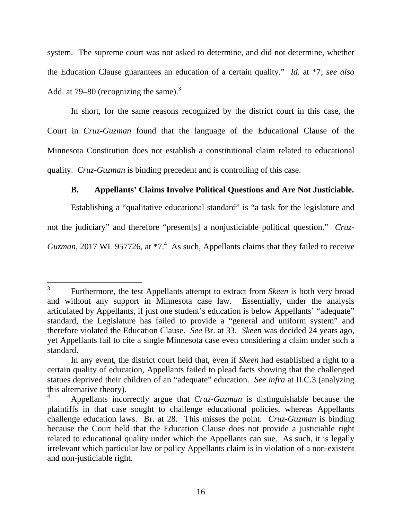system. The supreme court was not asked to determine, and did not determine, whether the Education Clause guarantees an education of a certain quality." *Id.* at \*7; *see also*  Add. at 79–80 (recognizing the same).<sup>3</sup>

In short, for the same reasons recognized by the district court in this case, the Court in *Cruz-Guzman* found that the language of the Educational Clause of the Minnesota Constitution does not establish a constitutional claim related to educational quality. *Cruz-Guzman* is binding precedent and is controlling of this case.

## **B. Appellants' Claims Involve Political Questions and Are Not Justiciable.**

Establishing a "qualitative educational standard" is "a task for the legislature and not the judiciary" and therefore "present[s] a nonjusticiable political question." *Cruz-Guzman*, 2017 WL 957726, at  $*7<sup>4</sup>$  As such, Appellants claims that they failed to receive

 $\overline{a}$ 

<sup>3</sup> Furthermore, the test Appellants attempt to extract from *Skeen* is both very broad and without any support in Minnesota case law. Essentially, under the analysis articulated by Appellants, if just one student's education is below Appellants' "adequate" standard, the Legislature has failed to provide a "general and uniform system" and therefore violated the Education Clause. *See* Br. at 33. *Skeen* was decided 24 years ago, yet Appellants fail to cite a single Minnesota case even considering a claim under such a standard.

In any event, the district court held that, even if *Skeen* had established a right to a certain quality of education, Appellants failed to plead facts showing that the challenged statues deprived their children of an "adequate" education. *See infra* at II.C.3 (analyzing this alternative theory).

<sup>4</sup> Appellants incorrectly argue that *Cruz-Guzman* is distinguishable because the plaintiffs in that case sought to challenge educational policies, whereas Appellants challenge education laws. Br. at 28. This misses the point. *Cruz-Guzman* is binding because the Court held that the Education Clause does not provide a justiciable right related to educational quality under which the Appellants can sue. As such, it is legally irrelevant which particular law or policy Appellants claim is in violation of a non-existent and non-justiciable right.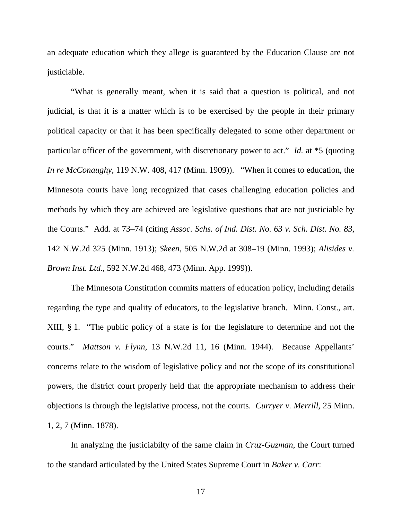an adequate education which they allege is guaranteed by the Education Clause are not justiciable.

"What is generally meant, when it is said that a question is political, and not judicial, is that it is a matter which is to be exercised by the people in their primary political capacity or that it has been specifically delegated to some other department or particular officer of the government, with discretionary power to act." *Id.* at \*5 (quoting *In re McConaughy*, 119 N.W. 408, 417 (Minn. 1909)). "When it comes to education, the Minnesota courts have long recognized that cases challenging education policies and methods by which they are achieved are legislative questions that are not justiciable by the Courts." Add. at 73–74 (citing *Assoc. Schs. of Ind. Dist. No. 63 v. Sch. Dist. No. 83*, 142 N.W.2d 325 (Minn. 1913); *Skeen*, 505 N.W.2d at 308–19 (Minn. 1993); *Alisides v. Brown Inst. Ltd.*, 592 N.W.2d 468, 473 (Minn. App. 1999)).

The Minnesota Constitution commits matters of education policy, including details regarding the type and quality of educators, to the legislative branch. Minn. Const., art. XIII, § 1. "The public policy of a state is for the legislature to determine and not the courts." *Mattson v. Flynn*, 13 N.W.2d 11, 16 (Minn. 1944). Because Appellants' concerns relate to the wisdom of legislative policy and not the scope of its constitutional powers, the district court properly held that the appropriate mechanism to address their objections is through the legislative process, not the courts. *Curryer v. Merrill*, 25 Minn. 1, 2, 7 (Minn. 1878).

In analyzing the justiciabilty of the same claim in *Cruz-Guzman*, the Court turned to the standard articulated by the United States Supreme Court in *Baker v. Carr*: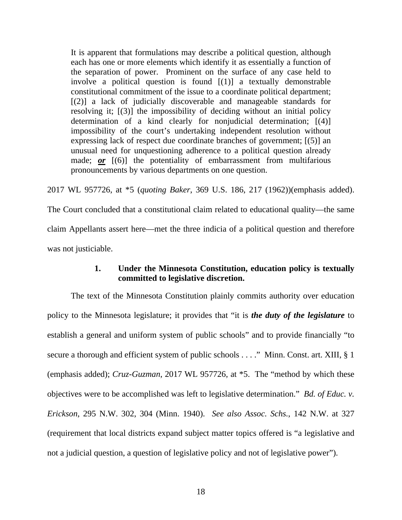It is apparent that formulations may describe a political question, although each has one or more elements which identify it as essentially a function of the separation of power. Prominent on the surface of any case held to involve a political question is found [(1)] a textually demonstrable constitutional commitment of the issue to a coordinate political department; [(2)] a lack of judicially discoverable and manageable standards for resolving it; [(3)] the impossibility of deciding without an initial policy determination of a kind clearly for nonjudicial determination; [(4)] impossibility of the court's undertaking independent resolution without expressing lack of respect due coordinate branches of government; [(5)] an unusual need for unquestioning adherence to a political question already made; *or* [(6)] the potentiality of embarrassment from multifarious pronouncements by various departments on one question.

2017 WL 957726, at \*5 (*quoting Baker*, 369 U.S. 186, 217 (1962))(emphasis added).

The Court concluded that a constitutional claim related to educational quality—the same claim Appellants assert here—met the three indicia of a political question and therefore was not justiciable.

## **1. Under the Minnesota Constitution, education policy is textually committed to legislative discretion.**

The text of the Minnesota Constitution plainly commits authority over education policy to the Minnesota legislature; it provides that "it is *the duty of the legislature* to establish a general and uniform system of public schools" and to provide financially "to secure a thorough and efficient system of public schools . . . ." Minn. Const. art. XIII, § 1 (emphasis added); *Cruz-Guzman*, 2017 WL 957726, at \*5. The "method by which these objectives were to be accomplished was left to legislative determination." *Bd. of Educ. v. Erickson*, 295 N.W. 302, 304 (Minn. 1940). *See also Assoc. Schs.*, 142 N.W. at 327 (requirement that local districts expand subject matter topics offered is "a legislative and not a judicial question, a question of legislative policy and not of legislative power").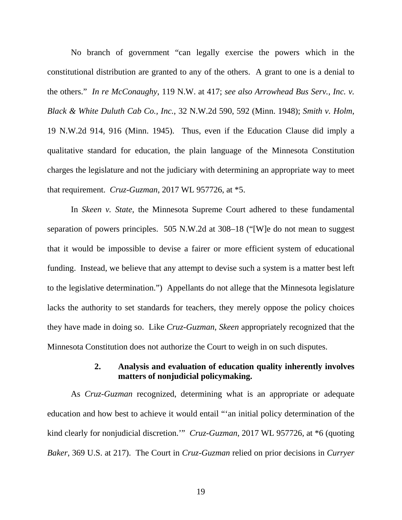No branch of government "can legally exercise the powers which in the constitutional distribution are granted to any of the others. A grant to one is a denial to the others." *In re McConaughy*, 119 N.W. at 417; *see also Arrowhead Bus Serv., Inc. v. Black & White Duluth Cab Co., Inc.*, 32 N.W.2d 590, 592 (Minn. 1948); *Smith v. Holm*, 19 N.W.2d 914, 916 (Minn. 1945). Thus, even if the Education Clause did imply a qualitative standard for education, the plain language of the Minnesota Constitution charges the legislature and not the judiciary with determining an appropriate way to meet that requirement. *Cruz-Guzman*, 2017 WL 957726, at \*5.

In *Skeen v. State*, the Minnesota Supreme Court adhered to these fundamental separation of powers principles. 505 N.W.2d at 308–18 ("[W]e do not mean to suggest that it would be impossible to devise a fairer or more efficient system of educational funding. Instead, we believe that any attempt to devise such a system is a matter best left to the legislative determination.") Appellants do not allege that the Minnesota legislature lacks the authority to set standards for teachers, they merely oppose the policy choices they have made in doing so. Like *Cruz-Guzman*, *Skeen* appropriately recognized that the Minnesota Constitution does not authorize the Court to weigh in on such disputes.

#### **2. Analysis and evaluation of education quality inherently involves matters of nonjudicial policymaking.**

As *Cruz-Guzman* recognized, determining what is an appropriate or adequate education and how best to achieve it would entail "'an initial policy determination of the kind clearly for nonjudicial discretion.'" *Cruz-Guzman*, 2017 WL 957726, at \*6 (quoting *Baker*, 369 U.S. at 217). The Court in *Cruz-Guzman* relied on prior decisions in *Curryer*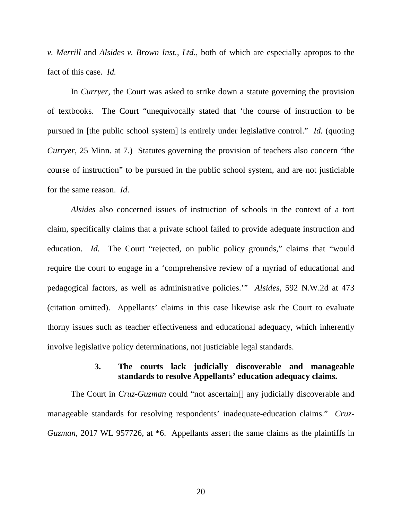*v. Merrill* and *Alsides v. Brown Inst., Ltd.*, both of which are especially apropos to the fact of this case. *Id.*

In *Curryer*, the Court was asked to strike down a statute governing the provision of textbooks. The Court "unequivocally stated that 'the course of instruction to be pursued in [the public school system] is entirely under legislative control." *Id.* (quoting *Curryer*, 25 Minn. at 7.) Statutes governing the provision of teachers also concern "the course of instruction" to be pursued in the public school system, and are not justiciable for the same reason. *Id.*

*Alsides* also concerned issues of instruction of schools in the context of a tort claim, specifically claims that a private school failed to provide adequate instruction and education. *Id.* The Court "rejected, on public policy grounds," claims that "would require the court to engage in a 'comprehensive review of a myriad of educational and pedagogical factors, as well as administrative policies.'" *Alsides*, 592 N.W.2d at 473 (citation omitted).Appellants' claims in this case likewise ask the Court to evaluate thorny issues such as teacher effectiveness and educational adequacy, which inherently involve legislative policy determinations, not justiciable legal standards.

#### **3. The courts lack judicially discoverable and manageable standards to resolve Appellants' education adequacy claims.**

The Court in *Cruz-Guzman* could "not ascertain[] any judicially discoverable and manageable standards for resolving respondents' inadequate-education claims." *Cruz-Guzman*, 2017 WL 957726, at \*6. Appellants assert the same claims as the plaintiffs in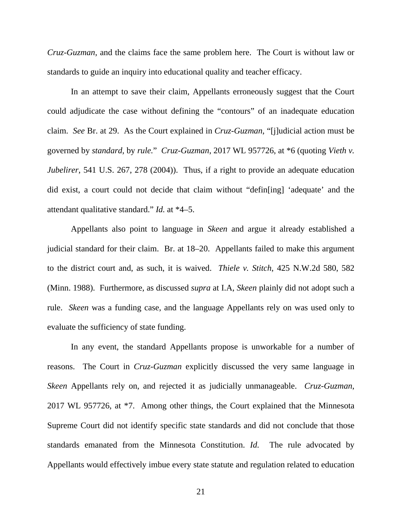*Cruz-Guzman*, and the claims face the same problem here. The Court is without law or standards to guide an inquiry into educational quality and teacher efficacy.

In an attempt to save their claim, Appellants erroneously suggest that the Court could adjudicate the case without defining the "contours" of an inadequate education claim. *See* Br. at 29. As the Court explained in *Cruz-Guzman*, "[j]udicial action must be governed by *standard*, by *rule.*" *Cruz-Guzman*, 2017 WL 957726, at \*6 (quoting *Vieth v. Jubelirer*, 541 U.S. 267, 278 (2004)). Thus, if a right to provide an adequate education did exist, a court could not decide that claim without "defin[ing] 'adequate' and the attendant qualitative standard." *Id.* at \*4–5.

Appellants also point to language in *Skeen* and argue it already established a judicial standard for their claim. Br. at 18–20. Appellants failed to make this argument to the district court and, as such, it is waived. *Thiele v. Stitch*, 425 N.W.2d 580, 582 (Minn. 1988). Furthermore, as discussed *supra* at I.A, *Skeen* plainly did not adopt such a rule. *Skeen* was a funding case, and the language Appellants rely on was used only to evaluate the sufficiency of state funding.

In any event, the standard Appellants propose is unworkable for a number of reasons. The Court in *Cruz-Guzman* explicitly discussed the very same language in *Skeen* Appellants rely on, and rejected it as judicially unmanageable. *Cruz-Guzman*, 2017 WL 957726, at \*7. Among other things, the Court explained that the Minnesota Supreme Court did not identify specific state standards and did not conclude that those standards emanated from the Minnesota Constitution. *Id.* The rule advocated by Appellants would effectively imbue every state statute and regulation related to education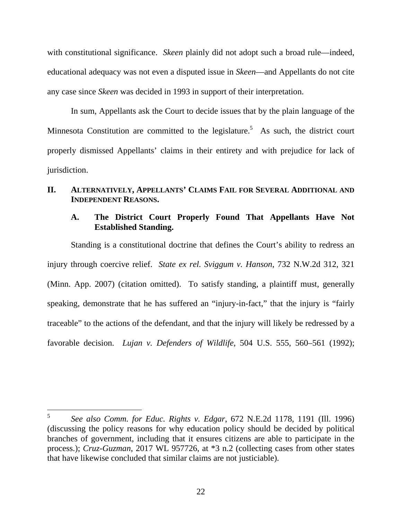with constitutional significance. *Skeen* plainly did not adopt such a broad rule—indeed, educational adequacy was not even a disputed issue in *Skeen*—and Appellants do not cite any case since *Skeen* was decided in 1993 in support of their interpretation.

In sum, Appellants ask the Court to decide issues that by the plain language of the Minnesota Constitution are committed to the legislature.<sup>5</sup> As such, the district court properly dismissed Appellants' claims in their entirety and with prejudice for lack of jurisdiction.

#### **II. ALTERNATIVELY, APPELLANTS' CLAIMS FAIL FOR SEVERAL ADDITIONAL AND INDEPENDENT REASONS.**

## **A. The District Court Properly Found That Appellants Have Not Established Standing.**

Standing is a constitutional doctrine that defines the Court's ability to redress an injury through coercive relief. *State ex rel. Sviggum v. Hanson*, 732 N.W.2d 312, 321 (Minn. App. 2007) (citation omitted). To satisfy standing, a plaintiff must, generally speaking, demonstrate that he has suffered an "injury-in-fact," that the injury is "fairly traceable" to the actions of the defendant, and that the injury will likely be redressed by a favorable decision. *Lujan v. Defenders of Wildlife*, 504 U.S. 555, 560–561 (1992);

<sup>5</sup> <sup>5</sup> *See also Comm. for Educ. Rights v. Edgar*, 672 N.E.2d 1178, 1191 (Ill. 1996) (discussing the policy reasons for why education policy should be decided by political branches of government, including that it ensures citizens are able to participate in the process.); *Cruz-Guzman*, 2017 WL 957726, at \*3 n.2 (collecting cases from other states that have likewise concluded that similar claims are not justiciable).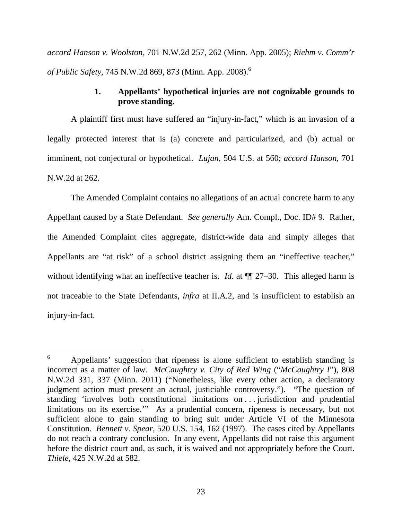*accord Hanson v. Woolston*, 701 N.W.2d 257, 262 (Minn. App. 2005); *Riehm v. Comm'r of Public Safety*, 745 N.W.2d 869, 873 (Minn. App. 2008).6

## **1. Appellants' hypothetical injuries are not cognizable grounds to prove standing.**

 A plaintiff first must have suffered an "injury-in-fact," which is an invasion of a legally protected interest that is (a) concrete and particularized, and (b) actual or imminent, not conjectural or hypothetical. *Lujan*, 504 U.S. at 560; *accord Hanson*, 701 N.W.2d at 262.

 The Amended Complaint contains no allegations of an actual concrete harm to any Appellant caused by a State Defendant. *See generally* Am. Compl., Doc. ID# 9. Rather, the Amended Complaint cites aggregate, district-wide data and simply alleges that Appellants are "at risk" of a school district assigning them an "ineffective teacher," without identifying what an ineffective teacher is. *Id.* at  $\P$  27–30. This alleged harm is not traceable to the State Defendants, *infra* at II.A.2, and is insufficient to establish an injury-in-fact.

 $\overline{a}$ 

<sup>6</sup> Appellants' suggestion that ripeness is alone sufficient to establish standing is incorrect as a matter of law. *McCaughtry v. City of Red Wing* ("*McCaughtry I*"), 808 N.W.2d 331, 337 (Minn. 2011) ("Nonetheless, like every other action, a declaratory judgment action must present an actual, justiciable controversy."). "The question of standing 'involves both constitutional limitations on . . . jurisdiction and prudential limitations on its exercise.'" As a prudential concern, ripeness is necessary, but not sufficient alone to gain standing to bring suit under Article VI of the Minnesota Constitution. *Bennett v. Spear*, 520 U.S. 154, 162 (1997). The cases cited by Appellants do not reach a contrary conclusion. In any event, Appellants did not raise this argument before the district court and, as such, it is waived and not appropriately before the Court. *Thiele*, 425 N.W.2d at 582.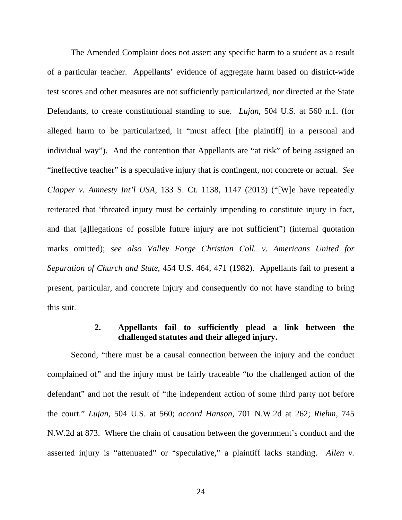The Amended Complaint does not assert any specific harm to a student as a result of a particular teacher. Appellants' evidence of aggregate harm based on district-wide test scores and other measures are not sufficiently particularized, nor directed at the State Defendants, to create constitutional standing to sue. *Lujan*, 504 U.S. at 560 n.1. (for alleged harm to be particularized, it "must affect [the plaintiff] in a personal and individual way"). And the contention that Appellants are "at risk" of being assigned an "ineffective teacher" is a speculative injury that is contingent, not concrete or actual. *See Clapper v. Amnesty Int'l USA*, 133 S. Ct. 1138, 1147 (2013) ("[W]e have repeatedly reiterated that 'threated injury must be certainly impending to constitute injury in fact, and that [a]llegations of possible future injury are not sufficient") (internal quotation marks omitted); *see also Valley Forge Christian Coll. v. Americans United for Separation of Church and State*, 454 U.S. 464, 471 (1982). Appellants fail to present a present, particular, and concrete injury and consequently do not have standing to bring this suit.

## **2. Appellants fail to sufficiently plead a link between the challenged statutes and their alleged injury.**

 Second, "there must be a causal connection between the injury and the conduct complained of" and the injury must be fairly traceable "to the challenged action of the defendant" and not the result of "the independent action of some third party not before the court." *Lujan*, 504 U.S. at 560; *accord Hanson*, 701 N.W.2d at 262; *Riehm*, 745 N.W.2d at 873. Where the chain of causation between the government's conduct and the asserted injury is "attenuated" or "speculative," a plaintiff lacks standing. *Allen v.*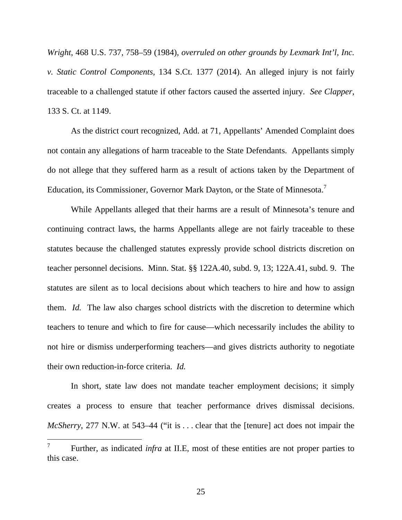*Wright*, 468 U.S. 737, 758–59 (1984), *overruled on other grounds by Lexmark Int'l, Inc. v. Static Control Components*, 134 S.Ct. 1377 (2014). An alleged injury is not fairly traceable to a challenged statute if other factors caused the asserted injury. *See Clapper*, 133 S. Ct. at 1149.

 As the district court recognized, Add. at 71, Appellants' Amended Complaint does not contain any allegations of harm traceable to the State Defendants. Appellants simply do not allege that they suffered harm as a result of actions taken by the Department of Education, its Commissioner, Governor Mark Dayton, or the State of Minnesota.<sup>7</sup>

 While Appellants alleged that their harms are a result of Minnesota's tenure and continuing contract laws, the harms Appellants allege are not fairly traceable to these statutes because the challenged statutes expressly provide school districts discretion on teacher personnel decisions. Minn. Stat. §§ 122A.40, subd. 9, 13; 122A.41, subd. 9. The statutes are silent as to local decisions about which teachers to hire and how to assign them. *Id.* The law also charges school districts with the discretion to determine which teachers to tenure and which to fire for cause—which necessarily includes the ability to not hire or dismiss underperforming teachers—and gives districts authority to negotiate their own reduction-in-force criteria. *Id.*

In short, state law does not mandate teacher employment decisions; it simply creates a process to ensure that teacher performance drives dismissal decisions. *McSherry*, 277 N.W. at 543–44 ("it is . . . clear that the [tenure] act does not impair the

<sup>7</sup> Further, as indicated *infra* at II.E, most of these entities are not proper parties to this case.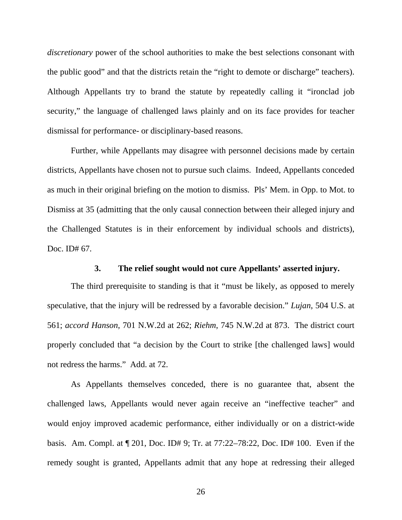*discretionary* power of the school authorities to make the best selections consonant with the public good" and that the districts retain the "right to demote or discharge" teachers). Although Appellants try to brand the statute by repeatedly calling it "ironclad job security," the language of challenged laws plainly and on its face provides for teacher dismissal for performance- or disciplinary-based reasons.

Further, while Appellants may disagree with personnel decisions made by certain districts, Appellants have chosen not to pursue such claims. Indeed, Appellants conceded as much in their original briefing on the motion to dismiss. Pls' Mem. in Opp. to Mot. to Dismiss at 35 (admitting that the only causal connection between their alleged injury and the Challenged Statutes is in their enforcement by individual schools and districts), Doc. ID# 67.

#### **3. The relief sought would not cure Appellants' asserted injury.**

 The third prerequisite to standing is that it "must be likely, as opposed to merely speculative, that the injury will be redressed by a favorable decision." *Lujan*, 504 U.S. at 561; *accord Hanson*, 701 N.W.2d at 262; *Riehm*, 745 N.W.2d at 873. The district court properly concluded that "a decision by the Court to strike [the challenged laws] would not redress the harms." Add. at 72.

 As Appellants themselves conceded, there is no guarantee that, absent the challenged laws, Appellants would never again receive an "ineffective teacher" and would enjoy improved academic performance, either individually or on a district-wide basis. Am. Compl. at ¶ 201, Doc. ID# 9; Tr. at 77:22–78:22, Doc. ID# 100. Even if the remedy sought is granted, Appellants admit that any hope at redressing their alleged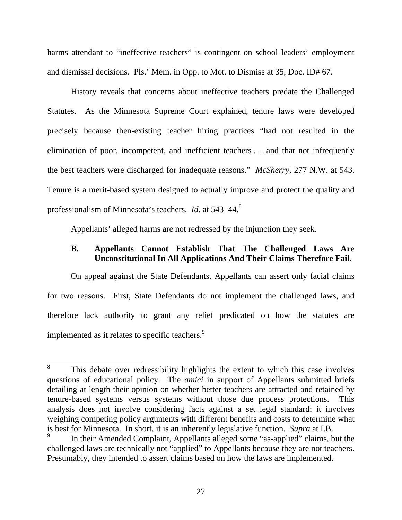harms attendant to "ineffective teachers" is contingent on school leaders' employment and dismissal decisions. Pls.' Mem. in Opp. to Mot. to Dismiss at 35, Doc. ID# 67.

History reveals that concerns about ineffective teachers predate the Challenged Statutes. As the Minnesota Supreme Court explained, tenure laws were developed precisely because then-existing teacher hiring practices "had not resulted in the elimination of poor, incompetent, and inefficient teachers . . . and that not infrequently the best teachers were discharged for inadequate reasons." *McSherry*, 277 N.W. at 543. Tenure is a merit-based system designed to actually improve and protect the quality and professionalism of Minnesota's teachers. *Id.* at 543–44.<sup>8</sup>

Appellants' alleged harms are not redressed by the injunction they seek.

#### **B. Appellants Cannot Establish That The Challenged Laws Are Unconstitutional In All Applications And Their Claims Therefore Fail.**

On appeal against the State Defendants, Appellants can assert only facial claims for two reasons. First, State Defendants do not implement the challenged laws, and therefore lack authority to grant any relief predicated on how the statutes are implemented as it relates to specific teachers.<sup>9</sup>

 $\overline{a}$ 

<sup>8</sup> This debate over redressibility highlights the extent to which this case involves questions of educational policy. The *amici* in support of Appellants submitted briefs detailing at length their opinion on whether better teachers are attracted and retained by tenure-based systems versus systems without those due process protections. This analysis does not involve considering facts against a set legal standard; it involves weighing competing policy arguments with different benefits and costs to determine what is best for Minnesota. In short, it is an inherently legislative function. *Supra* at I.B.

<sup>9</sup> In their Amended Complaint, Appellants alleged some "as-applied" claims, but the challenged laws are technically not "applied" to Appellants because they are not teachers. Presumably, they intended to assert claims based on how the laws are implemented.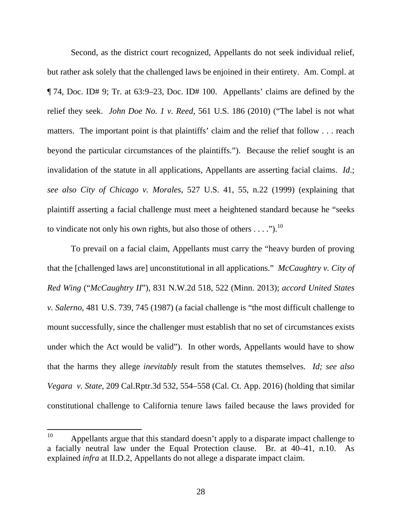Second, as the district court recognized, Appellants do not seek individual relief, but rather ask solely that the challenged laws be enjoined in their entirety. Am. Compl. at ¶ 74, Doc. ID# 9; Tr. at 63:9–23, Doc. ID# 100. Appellants' claims are defined by the relief they seek. *John Doe No. 1 v. Reed*, 561 U.S. 186 (2010) ("The label is not what matters. The important point is that plaintiffs' claim and the relief that follow . . . reach beyond the particular circumstances of the plaintiffs."). Because the relief sought is an invalidation of the statute in all applications, Appellants are asserting facial claims. *Id*.; *see also City of Chicago v. Morales*, 527 U.S. 41, 55, n.22 (1999) (explaining that plaintiff asserting a facial challenge must meet a heightened standard because he "seeks to vindicate not only his own rights, but also those of others  $\dots$ .").<sup>10</sup>

To prevail on a facial claim, Appellants must carry the "heavy burden of proving that the [challenged laws are] unconstitutional in all applications." *McCaughtry v. City of Red Wing* ("*McCaughtry II*"), 831 N.W.2d 518, 522 (Minn. 2013); *accord United States v. Salerno*, 481 U.S. 739, 745 (1987) (a facial challenge is "the most difficult challenge to mount successfully, since the challenger must establish that no set of circumstances exists under which the Act would be valid"). In other words, Appellants would have to show that the harms they allege *inevitably* result from the statutes themselves. *Id; see also Vegara v. State*, 209 Cal.Rptr.3d 532, 554–558 (Cal. Ct. App. 2016) (holding that similar constitutional challenge to California tenure laws failed because the laws provided for

<sup>10</sup> Appellants argue that this standard doesn't apply to a disparate impact challenge to a facially neutral law under the Equal Protection clause. Br. at 40–41, n.10. As explained *infra* at II.D.2, Appellants do not allege a disparate impact claim.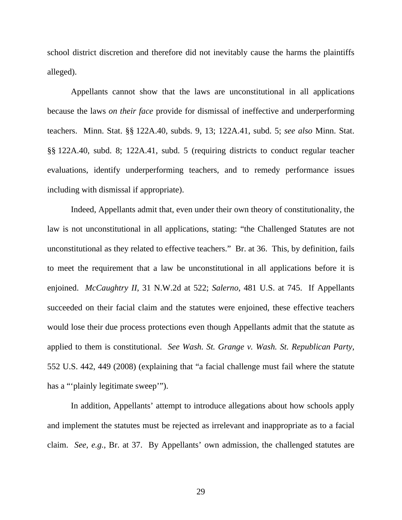school district discretion and therefore did not inevitably cause the harms the plaintiffs alleged).

Appellants cannot show that the laws are unconstitutional in all applications because the laws *on their face* provide for dismissal of ineffective and underperforming teachers. Minn. Stat. §§ 122A.40, subds. 9, 13; 122A.41, subd. 5; *see also* Minn. Stat. §§ 122A.40, subd. 8; 122A.41, subd. 5 (requiring districts to conduct regular teacher evaluations, identify underperforming teachers, and to remedy performance issues including with dismissal if appropriate).

Indeed, Appellants admit that, even under their own theory of constitutionality, the law is not unconstitutional in all applications, stating: "the Challenged Statutes are not unconstitutional as they related to effective teachers." Br. at 36. This, by definition, fails to meet the requirement that a law be unconstitutional in all applications before it is enjoined. *McCaughtry II*, 31 N.W.2d at 522; *Salerno*, 481 U.S. at 745. If Appellants succeeded on their facial claim and the statutes were enjoined, these effective teachers would lose their due process protections even though Appellants admit that the statute as applied to them is constitutional. *See Wash. St. Grange v. Wash. St. Republican Party*, 552 U.S. 442, 449 (2008) (explaining that "a facial challenge must fail where the statute has a "'plainly legitimate sweep'").

In addition, Appellants' attempt to introduce allegations about how schools apply and implement the statutes must be rejected as irrelevant and inappropriate as to a facial claim. *See, e.g.*, Br. at 37. By Appellants' own admission, the challenged statutes are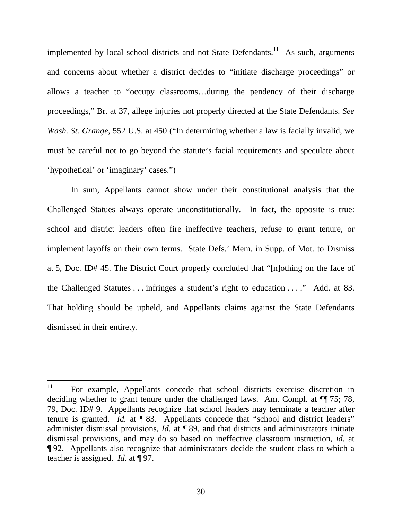implemented by local school districts and not State Defendants.<sup>11</sup> As such, arguments and concerns about whether a district decides to "initiate discharge proceedings" or allows a teacher to "occupy classrooms…during the pendency of their discharge proceedings," Br. at 37, allege injuries not properly directed at the State Defendants. *See Wash. St. Grange*, 552 U.S. at 450 ("In determining whether a law is facially invalid, we must be careful not to go beyond the statute's facial requirements and speculate about 'hypothetical' or 'imaginary' cases.")

In sum, Appellants cannot show under their constitutional analysis that the Challenged Statues always operate unconstitutionally. In fact, the opposite is true: school and district leaders often fire ineffective teachers, refuse to grant tenure, or implement layoffs on their own terms. State Defs.' Mem. in Supp. of Mot. to Dismiss at 5, Doc. ID# 45. The District Court properly concluded that "[n]othing on the face of the Challenged Statutes . . . infringes a student's right to education . . . ." Add. at 83. That holding should be upheld, and Appellants claims against the State Defendants dismissed in their entirety.

 $11$ 11 For example, Appellants concede that school districts exercise discretion in deciding whether to grant tenure under the challenged laws. Am. Compl. at ¶¶ 75; 78, 79, Doc. ID# 9. Appellants recognize that school leaders may terminate a teacher after tenure is granted. *Id.* at ¶ 83. Appellants concede that "school and district leaders" administer dismissal provisions, *Id.* at ¶ 89, and that districts and administrators initiate dismissal provisions, and may do so based on ineffective classroom instruction, *id.* at ¶ 92. Appellants also recognize that administrators decide the student class to which a teacher is assigned. *Id.* at ¶ 97.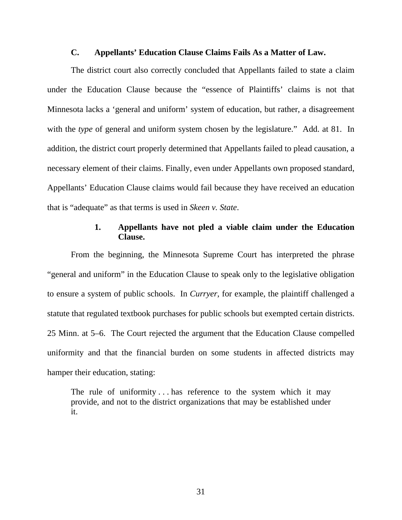#### **C. Appellants' Education Clause Claims Fails As a Matter of Law.**

The district court also correctly concluded that Appellants failed to state a claim under the Education Clause because the "essence of Plaintiffs' claims is not that Minnesota lacks a 'general and uniform' system of education, but rather, a disagreement with the *type* of general and uniform system chosen by the legislature." Add. at 81. In addition, the district court properly determined that Appellants failed to plead causation, a necessary element of their claims. Finally, even under Appellants own proposed standard, Appellants' Education Clause claims would fail because they have received an education that is "adequate" as that terms is used in *Skeen v. State*.

## **1. Appellants have not pled a viable claim under the Education Clause.**

From the beginning, the Minnesota Supreme Court has interpreted the phrase "general and uniform" in the Education Clause to speak only to the legislative obligation to ensure a system of public schools. In *Curryer*, for example, the plaintiff challenged a statute that regulated textbook purchases for public schools but exempted certain districts. 25 Minn. at 5–6. The Court rejected the argument that the Education Clause compelled uniformity and that the financial burden on some students in affected districts may hamper their education, stating:

The rule of uniformity  $\dots$  has reference to the system which it may provide, and not to the district organizations that may be established under it.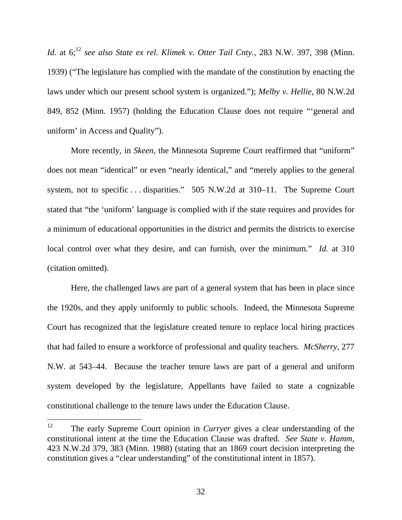*Id.* at 6;<sup>12</sup> *see also State ex rel. Klimek v. Otter Tail Cnty.*, 283 N.W. 397, 398 (Minn. 1939) ("The legislature has complied with the mandate of the constitution by enacting the laws under which our present school system is organized."); *Melby v. Hellie*, 80 N.W.2d 849, 852 (Minn. 1957) (holding the Education Clause does not require "'general and uniform' in Access and Quality").

More recently, in *Skeen*, the Minnesota Supreme Court reaffirmed that "uniform" does not mean "identical" or even "nearly identical," and "merely applies to the general system, not to specific . . . disparities." 505 N.W.2d at 310–11. The Supreme Court stated that "the 'uniform' language is complied with if the state requires and provides for a minimum of educational opportunities in the district and permits the districts to exercise local control over what they desire, and can furnish, over the minimum." *Id.* at 310 (citation omitted).

Here, the challenged laws are part of a general system that has been in place since the 1920s, and they apply uniformly to public schools. Indeed, the Minnesota Supreme Court has recognized that the legislature created tenure to replace local hiring practices that had failed to ensure a workforce of professional and quality teachers. *McSherry*, 277 N.W. at 543–44. Because the teacher tenure laws are part of a general and uniform system developed by the legislature, Appellants have failed to state a cognizable constitutional challenge to the tenure laws under the Education Clause.

<sup>12</sup> The early Supreme Court opinion in *Curryer* gives a clear understanding of the constitutional intent at the time the Education Clause was drafted. *See State v. Hamm*, 423 N.W.2d 379, 383 (Minn. 1988) (stating that an 1869 court decision interpreting the constitution gives a "clear understanding" of the constitutional intent in 1857).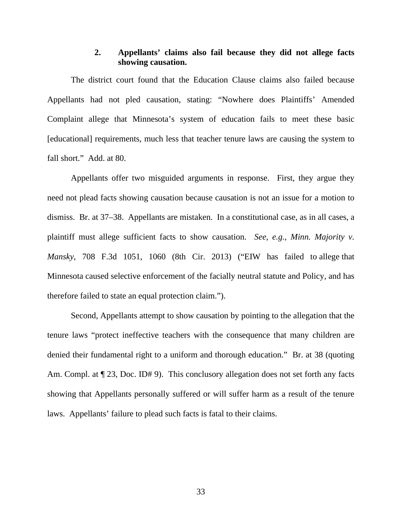#### **2. Appellants' claims also fail because they did not allege facts showing causation.**

The district court found that the Education Clause claims also failed because Appellants had not pled causation, stating: "Nowhere does Plaintiffs' Amended Complaint allege that Minnesota's system of education fails to meet these basic [educational] requirements, much less that teacher tenure laws are causing the system to fall short." Add. at 80.

Appellants offer two misguided arguments in response. First, they argue they need not plead facts showing causation because causation is not an issue for a motion to dismiss. Br. at 37–38. Appellants are mistaken. In a constitutional case, as in all cases, a plaintiff must allege sufficient facts to show causation. *See, e.g.*, *Minn. Majority v. Mansky*, 708 F.3d 1051, 1060 (8th Cir. 2013) ("EIW has failed to allege that Minnesota caused selective enforcement of the facially neutral statute and Policy, and has therefore failed to state an equal protection claim.").

Second, Appellants attempt to show causation by pointing to the allegation that the tenure laws "protect ineffective teachers with the consequence that many children are denied their fundamental right to a uniform and thorough education." Br. at 38 (quoting Am. Compl. at  $\P$  23, Doc. ID# 9). This conclusory allegation does not set forth any facts showing that Appellants personally suffered or will suffer harm as a result of the tenure laws. Appellants' failure to plead such facts is fatal to their claims.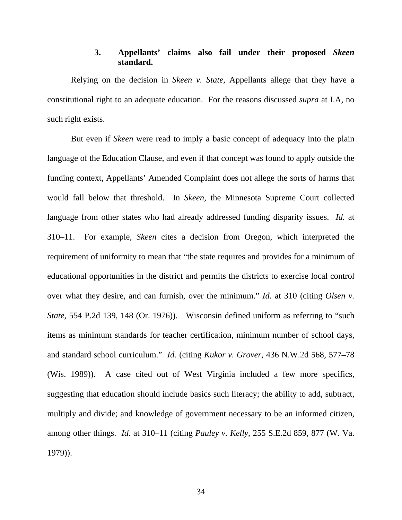## **3. Appellants' claims also fail under their proposed** *Skeen*  **standard.**

Relying on the decision in *Skeen v. State,* Appellants allege that they have a constitutional right to an adequate education. For the reasons discussed *supra* at I.A, no such right exists.

But even if *Skeen* were read to imply a basic concept of adequacy into the plain language of the Education Clause, and even if that concept was found to apply outside the funding context, Appellants' Amended Complaint does not allege the sorts of harms that would fall below that threshold. In *Skeen*, the Minnesota Supreme Court collected language from other states who had already addressed funding disparity issues. *Id.* at 310–11. For example, *Skeen* cites a decision from Oregon, which interpreted the requirement of uniformity to mean that "the state requires and provides for a minimum of educational opportunities in the district and permits the districts to exercise local control over what they desire, and can furnish, over the minimum." *Id.* at 310 (citing *Olsen v. State*, 554 P.2d 139, 148 (Or. 1976)). Wisconsin defined uniform as referring to "such items as minimum standards for teacher certification, minimum number of school days, and standard school curriculum." *Id.* (citing *Kukor v. Grover*, 436 N.W.2d 568, 577–78 (Wis. 1989)). A case cited out of West Virginia included a few more specifics, suggesting that education should include basics such literacy; the ability to add, subtract, multiply and divide; and knowledge of government necessary to be an informed citizen, among other things. *Id.* at 310–11 (citing *Pauley v. Kelly*, 255 S.E.2d 859, 877 (W. Va. 1979)).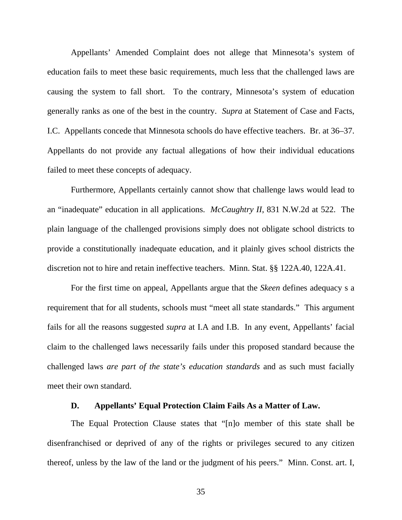Appellants' Amended Complaint does not allege that Minnesota's system of education fails to meet these basic requirements, much less that the challenged laws are causing the system to fall short. To the contrary, Minnesota's system of education generally ranks as one of the best in the country. *Supra* at Statement of Case and Facts, I.C. Appellants concede that Minnesota schools do have effective teachers. Br. at 36–37. Appellants do not provide any factual allegations of how their individual educations failed to meet these concepts of adequacy.

Furthermore, Appellants certainly cannot show that challenge laws would lead to an "inadequate" education in all applications. *McCaughtry II*, 831 N.W.2d at 522. The plain language of the challenged provisions simply does not obligate school districts to provide a constitutionally inadequate education, and it plainly gives school districts the discretion not to hire and retain ineffective teachers. Minn. Stat. §§ 122A.40, 122A.41.

For the first time on appeal, Appellants argue that the *Skeen* defines adequacy s a requirement that for all students, schools must "meet all state standards." This argument fails for all the reasons suggested *supra* at I.A and I.B. In any event, Appellants' facial claim to the challenged laws necessarily fails under this proposed standard because the challenged laws *are part of the state's education standards* and as such must facially meet their own standard.

#### **D. Appellants' Equal Protection Claim Fails As a Matter of Law.**

The Equal Protection Clause states that "[n]o member of this state shall be disenfranchised or deprived of any of the rights or privileges secured to any citizen thereof, unless by the law of the land or the judgment of his peers." Minn. Const. art. I,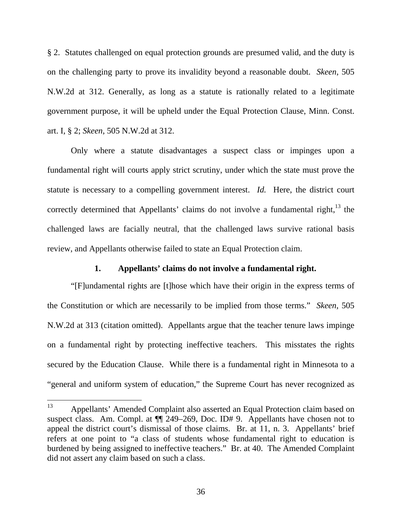§ 2. Statutes challenged on equal protection grounds are presumed valid, and the duty is on the challenging party to prove its invalidity beyond a reasonable doubt. *Skeen*, 505 N.W.2d at 312. Generally, as long as a statute is rationally related to a legitimate government purpose, it will be upheld under the Equal Protection Clause, Minn. Const. art. I, § 2; *Skeen*, 505 N.W.2d at 312.

Only where a statute disadvantages a suspect class or impinges upon a fundamental right will courts apply strict scrutiny, under which the state must prove the statute is necessary to a compelling government interest. *Id.* Here, the district court correctly determined that Appellants' claims do not involve a fundamental right, $^{13}$  the challenged laws are facially neutral, that the challenged laws survive rational basis review, and Appellants otherwise failed to state an Equal Protection claim.

#### **1. Appellants' claims do not involve a fundamental right.**

"[F]undamental rights are [t]hose which have their origin in the express terms of the Constitution or which are necessarily to be implied from those terms." *Skeen*, 505 N.W.2d at 313 (citation omitted). Appellants argue that the teacher tenure laws impinge on a fundamental right by protecting ineffective teachers. This misstates the rights secured by the Education Clause. While there is a fundamental right in Minnesota to a "general and uniform system of education," the Supreme Court has never recognized as

<sup>13</sup> Appellants' Amended Complaint also asserted an Equal Protection claim based on suspect class. Am. Compl. at ¶¶ 249–269, Doc. ID# 9. Appellants have chosen not to appeal the district court's dismissal of those claims. Br. at 11, n. 3. Appellants' brief refers at one point to "a class of students whose fundamental right to education is burdened by being assigned to ineffective teachers." Br. at 40. The Amended Complaint did not assert any claim based on such a class.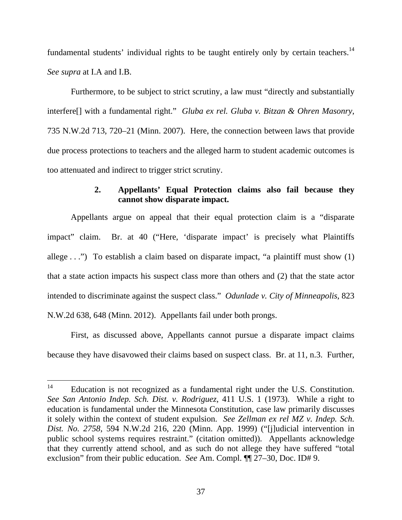fundamental students' individual rights to be taught entirely only by certain teachers.<sup>14</sup> *See supra* at I.A and I.B.

Furthermore, to be subject to strict scrutiny, a law must "directly and substantially interfere[] with a fundamental right." *Gluba ex rel. Gluba v. Bitzan & Ohren Masonry*, 735 N.W.2d 713, 720–21 (Minn. 2007). Here, the connection between laws that provide due process protections to teachers and the alleged harm to student academic outcomes is too attenuated and indirect to trigger strict scrutiny.

## **2. Appellants' Equal Protection claims also fail because they cannot show disparate impact.**

Appellants argue on appeal that their equal protection claim is a "disparate impact" claim. Br. at 40 ("Here, 'disparate impact' is precisely what Plaintiffs allege . . .") To establish a claim based on disparate impact, "a plaintiff must show (1) that a state action impacts his suspect class more than others and (2) that the state actor intended to discriminate against the suspect class." *Odunlade v. City of Minneapolis*, 823 N.W.2d 638, 648 (Minn. 2012). Appellants fail under both prongs.

First, as discussed above, Appellants cannot pursue a disparate impact claims because they have disavowed their claims based on suspect class. Br. at 11, n.3. Further,

 $14$ Education is not recognized as a fundamental right under the U.S. Constitution. *See San Antonio Indep. Sch. Dist. v. Rodriguez*, 411 U.S. 1 (1973). While a right to education is fundamental under the Minnesota Constitution, case law primarily discusses it solely within the context of student expulsion. *See Zellman ex rel MZ v. Indep. Sch. Dist. No. 2758*, 594 N.W.2d 216, 220 (Minn. App. 1999) ("[j]udicial intervention in public school systems requires restraint." (citation omitted)). Appellants acknowledge that they currently attend school, and as such do not allege they have suffered "total exclusion" from their public education. *See* Am. Compl. ¶¶ 27–30, Doc. ID# 9.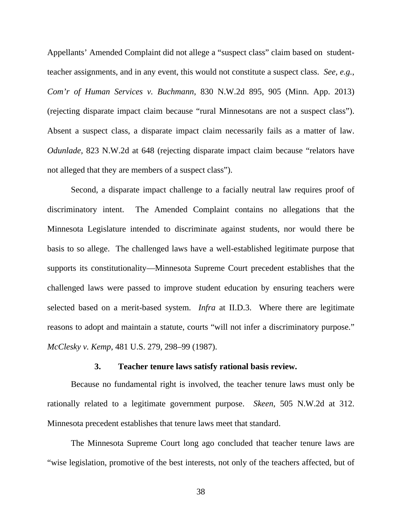Appellants' Amended Complaint did not allege a "suspect class" claim based on studentteacher assignments, and in any event, this would not constitute a suspect class. *See, e.g.*, *Com'r of Human Services v. Buchmann*, 830 N.W.2d 895, 905 (Minn. App. 2013) (rejecting disparate impact claim because "rural Minnesotans are not a suspect class"). Absent a suspect class, a disparate impact claim necessarily fails as a matter of law. *Odunlade*, 823 N.W.2d at 648 (rejecting disparate impact claim because "relators have not alleged that they are members of a suspect class").

Second, a disparate impact challenge to a facially neutral law requires proof of discriminatory intent. The Amended Complaint contains no allegations that the Minnesota Legislature intended to discriminate against students, nor would there be basis to so allege. The challenged laws have a well-established legitimate purpose that supports its constitutionality—Minnesota Supreme Court precedent establishes that the challenged laws were passed to improve student education by ensuring teachers were selected based on a merit-based system. *Infra* at II.D.3. Where there are legitimate reasons to adopt and maintain a statute, courts "will not infer a discriminatory purpose." *McClesky v. Kemp*, 481 U.S. 279, 298–99 (1987).

#### **3. Teacher tenure laws satisfy rational basis review.**

Because no fundamental right is involved, the teacher tenure laws must only be rationally related to a legitimate government purpose. *Skeen*, 505 N.W.2d at 312. Minnesota precedent establishes that tenure laws meet that standard.

The Minnesota Supreme Court long ago concluded that teacher tenure laws are "wise legislation, promotive of the best interests, not only of the teachers affected, but of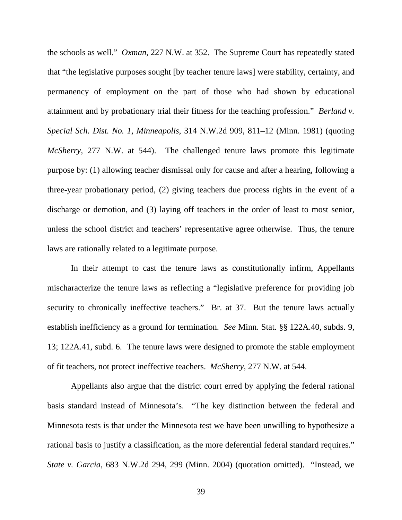the schools as well." *Oxman*, 227 N.W. at 352. The Supreme Court has repeatedly stated that "the legislative purposes sought [by teacher tenure laws] were stability, certainty, and permanency of employment on the part of those who had shown by educational attainment and by probationary trial their fitness for the teaching profession." *Berland v. Special Sch. Dist. No. 1, Minneapolis*, 314 N.W.2d 909, 811–12 (Minn. 1981) (quoting *McSherry*, 277 N.W. at 544). The challenged tenure laws promote this legitimate purpose by: (1) allowing teacher dismissal only for cause and after a hearing, following a three-year probationary period, (2) giving teachers due process rights in the event of a discharge or demotion, and (3) laying off teachers in the order of least to most senior, unless the school district and teachers' representative agree otherwise. Thus, the tenure laws are rationally related to a legitimate purpose.

In their attempt to cast the tenure laws as constitutionally infirm, Appellants mischaracterize the tenure laws as reflecting a "legislative preference for providing job security to chronically ineffective teachers." Br. at 37. But the tenure laws actually establish inefficiency as a ground for termination. *See* Minn. Stat. §§ 122A.40, subds. 9, 13; 122A.41, subd. 6. The tenure laws were designed to promote the stable employment of fit teachers, not protect ineffective teachers. *McSherry*, 277 N.W. at 544.

Appellants also argue that the district court erred by applying the federal rational basis standard instead of Minnesota's. "The key distinction between the federal and Minnesota tests is that under the Minnesota test we have been unwilling to hypothesize a rational basis to justify a classification, as the more deferential federal standard requires." *State v. Garcia*, 683 N.W.2d 294, 299 (Minn. 2004) (quotation omitted). "Instead, we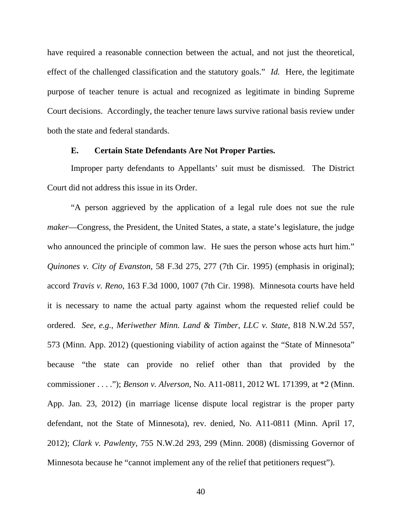have required a reasonable connection between the actual, and not just the theoretical, effect of the challenged classification and the statutory goals." *Id.* Here, the legitimate purpose of teacher tenure is actual and recognized as legitimate in binding Supreme Court decisions. Accordingly, the teacher tenure laws survive rational basis review under both the state and federal standards.

#### **E. Certain State Defendants Are Not Proper Parties.**

Improper party defendants to Appellants' suit must be dismissed. The District Court did not address this issue in its Order.

"A person aggrieved by the application of a legal rule does not sue the rule *maker*—Congress, the President, the United States, a state, a state's legislature, the judge who announced the principle of common law. He sues the person whose acts hurt him." *Quinones v. City of Evanston*, 58 F.3d 275, 277 (7th Cir. 1995) (emphasis in original); accord *Travis v. Reno*, 163 F.3d 1000, 1007 (7th Cir. 1998). Minnesota courts have held it is necessary to name the actual party against whom the requested relief could be ordered. *See, e.g.*, *Meriwether Minn. Land & Timber, LLC v. State*, 818 N.W.2d 557, 573 (Minn. App. 2012) (questioning viability of action against the "State of Minnesota" because "the state can provide no relief other than that provided by the commissioner . . . ."); *Benson v. Alverson*, No. A11-0811, 2012 WL 171399, at \*2 (Minn. App. Jan. 23, 2012) (in marriage license dispute local registrar is the proper party defendant, not the State of Minnesota), rev. denied, No. A11-0811 (Minn. April 17, 2012); *Clark v. Pawlenty*, 755 N.W.2d 293, 299 (Minn. 2008) (dismissing Governor of Minnesota because he "cannot implement any of the relief that petitioners request").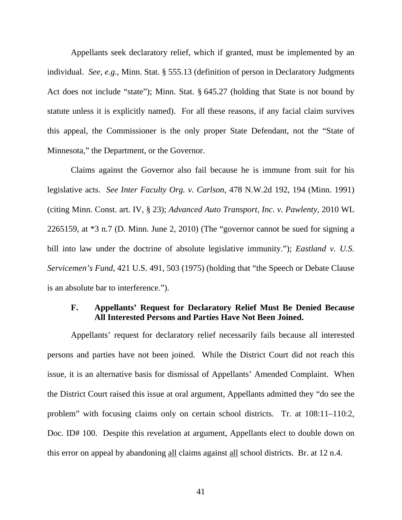Appellants seek declaratory relief, which if granted, must be implemented by an individual. *See, e.g.*, Minn. Stat. § 555.13 (definition of person in Declaratory Judgments Act does not include "state"); Minn. Stat. § 645.27 (holding that State is not bound by statute unless it is explicitly named). For all these reasons, if any facial claim survives this appeal, the Commissioner is the only proper State Defendant, not the "State of Minnesota," the Department, or the Governor.

Claims against the Governor also fail because he is immune from suit for his legislative acts. *See Inter Faculty Org. v. Carlson*, 478 N.W.2d 192, 194 (Minn. 1991) (citing Minn. Const. art. IV, § 23); *Advanced Auto Transport, Inc. v. Pawlenty*, 2010 WL 2265159, at \*3 n.7 (D. Minn. June 2, 2010) (The "governor cannot be sued for signing a bill into law under the doctrine of absolute legislative immunity."); *Eastland v. U.S. Servicemen's Fund*, 421 U.S. 491, 503 (1975) (holding that "the Speech or Debate Clause is an absolute bar to interference.").

#### **F. Appellants' Request for Declaratory Relief Must Be Denied Because All Interested Persons and Parties Have Not Been Joined.**

 Appellants' request for declaratory relief necessarily fails because all interested persons and parties have not been joined. While the District Court did not reach this issue, it is an alternative basis for dismissal of Appellants' Amended Complaint. When the District Court raised this issue at oral argument, Appellants admitted they "do see the problem" with focusing claims only on certain school districts. Tr. at 108:11–110:2, Doc. ID# 100. Despite this revelation at argument, Appellants elect to double down on this error on appeal by abandoning all claims against all school districts. Br. at 12 n.4.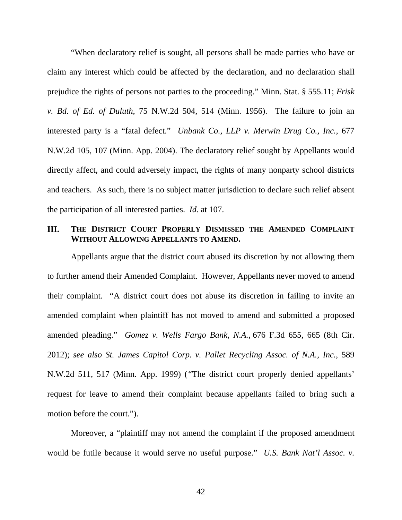"When declaratory relief is sought, all persons shall be made parties who have or claim any interest which could be affected by the declaration, and no declaration shall prejudice the rights of persons not parties to the proceeding." Minn. Stat. § 555.11; *Frisk v. Bd. of Ed. of Duluth*, 75 N.W.2d 504, 514 (Minn. 1956). The failure to join an interested party is a "fatal defect." *Unbank Co., LLP v. Merwin Drug Co., Inc.*, 677 N.W.2d 105, 107 (Minn. App. 2004). The declaratory relief sought by Appellants would directly affect, and could adversely impact, the rights of many nonparty school districts and teachers. As such, there is no subject matter jurisdiction to declare such relief absent the participation of all interested parties. *Id.* at 107.

#### **III. THE DISTRICT COURT PROPERLY DISMISSED THE AMENDED COMPLAINT WITHOUT ALLOWING APPELLANTS TO AMEND.**

Appellants argue that the district court abused its discretion by not allowing them to further amend their Amended Complaint. However, Appellants never moved to amend their complaint. "A district court does not abuse its discretion in failing to invite an amended complaint when plaintiff has not moved to amend and submitted a proposed amended pleading." *Gomez v. Wells Fargo Bank, N.A.,* 676 F.3d 655, 665 (8th Cir. 2012); *see also St. James Capitol Corp. v. Pallet Recycling Assoc. of N.A., Inc.*, 589 N.W.2d 511, 517 (Minn. App. 1999) (*"*The district court properly denied appellants' request for leave to amend their complaint because appellants failed to bring such a motion before the court.").

 Moreover, a "plaintiff may not amend the complaint if the proposed amendment would be futile because it would serve no useful purpose." *U.S. Bank Nat'l Assoc. v.*